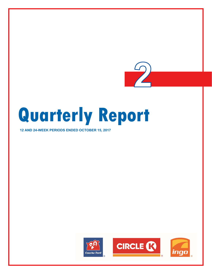

**12 AND 24-WEEK PERIODS ENDED OCTOBER 15, 2017** 

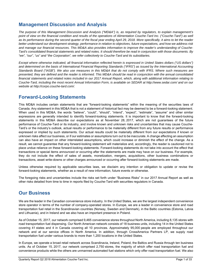# **Management Discussion and Analysis**

*The purpose of this Management Discussion and Analysis ("MD&A") is, as required by regulators, to explain management's point of view on the financial condition and results of the operations of Alimentation Couche-Tard Inc. ("Couche-Tard") as well as its performance during the second quarter of the fiscal year ending April 29, 2018. More specifically, it aims to let the reader better understand our development strategy, performance in relation to objectives, future expectations, and how we address risk and manage our financial resources. This MD&A also provides information to improve the reader's understanding of Couche-Tard's consolidated financial statements and related notes. It should therefore be read in conjunction with those documents. By "we", "our", "us" and "the Corporation", we refer collectively to Couche-Tard and its subsidiaries.* 

*Except where otherwise indicated, all financial information reflected herein is expressed in United States dollars ("US dollars") and determined on the basis of International Financial Reporting Standards ("IFRS") as issued by the International Accounting Standards Board ("IASB"). We also use measures in this MD&A that do not comply with IFRS. Where such measures are presented, they are defined and the reader is informed. This MD&A should be read in conjunction with the annual consolidated financial statements and related notes included in our 2017 Annual Report, which, along with additional information relating to Couche-Tard, including the most recent Annual Information Form, is available on SEDAR at http://www.sedar.com/ and on our website at http://corpo.couche-tard.com/.* 

# **Forward-Looking Statements**

This MD&A includes certain statements that are "forward-looking statements" within the meaning of the securities laws of Canada. Any statement in this MD&A that is not a statement of historical fact may be deemed to be a forward-looking statement. When used in this MD&A, the words "believe", "could", "should", "intend", "expect", "estimate", "assume" and other similar expressions are generally intended to identify forward-looking statements. It is important to know that the forward-looking statements in this MD&A describe our expectations as at November 28, 2017, which are not guarantees of the future performance of Couche-Tard or its industry, and involve known and unknown risks and uncertainties that may cause Couche-Tard's or the industry's outlook, actual results or performance to be materially different from any future results or performance expressed or implied by such statements. Our actual results could be materially different from our expectations if known or unknown risks affect our business, or if our estimates or assumptions turn out to be inaccurate. A change affecting an assumption can also have an impact on other interrelated assumptions, which could increase or diminish the effect of the change. As a result, we cannot guarantee that any forward-looking statement will materialize and, accordingly, the reader is cautioned not to place undue reliance on these forward-looking statements. Forward-looking statements do not take into account the effect that transactions or special items announced or occurring after the statements are made may have on our business. For example, they do not include the effect of sales of assets, monetization, mergers, acquisitions, other business combinations or transactions, asset write-downs or other charges announced or occurring after forward-looking statements are made.

Unless otherwise required by applicable securities laws, we disclaim any intention or obligation to update or revise the forward-looking statements, whether as a result of new information, future events or otherwise.

The foregoing risks and uncertainties include the risks set forth under "Business Risks" in our 2017 Annual Report as well as other risks detailed from time to time in reports filed by Couche-Tard with securities regulators in Canada.

# **Our Business**

We are the leader in the Canadian convenience store industry. In the United States, we are the largest independent convenience store operator in terms of the number of company-operated stores. In Europe, we are a leader in convenience store and road transportation fuel retail in the Scandinavian countries (Norway, Sweden and Denmark), in the Baltic countries (Estonia, Latvia and Lithuania), and in Ireland and we also have an important presence in Poland.

As of October 15, 2017, our network comprised 9,465 convenience stores throughout North America, including 8,135 stores with road transportation fuel dispensing. Our North American network consists of 18 business units, including 14 in the United States covering 41 states and 4 in Canada covering all 10 provinces. Approximately 95,000 people are employed throughout our network and at our service offices in North America. In addition, through CrossAmerica Partners LP, we supply road transportation fuel under various brands to more than 1,200 locations in the United States.

In Europe, we operate a broad retail network across Scandinavia, Ireland, Poland, the Baltics and Russia through ten business units. As of October 15, 2017, our network comprised 2,750 stores, the majority of which offer road transportation fuel and convenience products while the others are unmanned automated fuel stations which only offer road transportation fuel. We also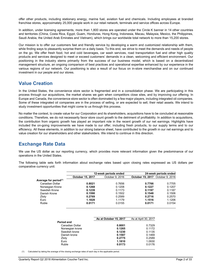offer other products, including stationary energy, marine fuel, aviation fuel and chemicals. Including employees at branded franchise stores, approximately 25,000 people work in our retail network, terminals and service offices across Europe.

In addition, under licensing agreements, more than 1,800 stores are operated under the Circle K banner in 14 other countries and territories (China, Costa Rica, Egypt, Guam, Honduras, Hong Kong, Indonesia, Macau, Malaysia, Mexico, the Philippines, Saudi Arabia, the United Arab Emirates and Vietnam), which brings our worldwide total network to more than 15,200 stores.

Our mission is to offer our customers fast and friendly service by developing a warm and customized relationship with them, while finding ways to pleasantly surprise them on a daily basis. To this end, we strive to meet the demands and needs of people on the go. We offer fresh food, hot and cold beverages, car wash services, road transportation fuel and other high quality products and services designed to meet or exceed customers' demands in a clean, welcoming and efficient environment. Our positioning in the industry stems primarily from the success of our business model, which is based on a decentralized management structure, an ongoing comparison of best practices and operational expertise enhanced by our experience in the various regions of our network. Our positioning is also a result of our focus on in-store merchandise and on our continued investment in our people and our stores.

# **Value Creation**

In the United States, the convenience store sector is fragmented and in a consolidation phase. We are participating in this process through our acquisitions, the market shares we gain when competitors close sites, and by improving our offering. In Europe and Canada, the convenience store sector is often dominated by a few major players, including integrated oil companies. Some of these integrated oil companies are in the process of selling, or are expected to sell, their retail assets. We intend to study investment opportunities that might come to us through this process.

No matter the context, to create value for our Corporation and its shareholders, acquisitions have to be concluded at reasonable conditions. Therefore, we do not necessarily favor store count growth to the detriment of profitability. In addition to acquisitions, the contribution from organic growth has played an important role in the recent growth of our net earnings. Highlights have included the on-going improvements we have made to our offer, including fresh products, to our supply terms and to our efficiency. All these elements, in addition to our strong balance sheet, have contributed to the growth in our net earnings and to value creation for our shareholders and other stakeholders. We intend to continue in this direction.

# **Exchange Rate Data**

We use the US dollar as our reporting currency, which provides more relevant information given the predominance of our operations in the United States.

The following table sets forth information about exchange rates based upon closing rates expressed as US dollars per comparative currency unit:

|                                   |                  | 12-week periods ended |                                         | 24-week periods ended |
|-----------------------------------|------------------|-----------------------|-----------------------------------------|-----------------------|
|                                   | October 15, 2017 | October 9, 2016       | <b>October 15, 2017</b> October 9, 2016 |                       |
| Average for period <sup>(1)</sup> |                  |                       |                                         |                       |
| Canadian Dollar                   | 0.8021           | 0.7656                | 0.7766                                  | 0.7705                |
| Norwegian Krone                   | 0.1268           | 0.1208                | 0.1227                                  | 0.1207                |
| Swedish Krone                     | 0.1239           | 0.1173                | 0.1197                                  | 0.1187                |
| Danish Krone                      | 0.1590           | 0.1502                | 0.1548                                  | 0.1506                |
| Zloty                             | 0.2769           | 0.2589                | 0.2716                                  | 0.2570                |
| Euro                              | 1.1828           | 1.1179                | 1.1516                                  | 1.1206                |
| Ruble                             | 0.0171           | 0.0155                | 0.0171                                  | 0.0154                |
|                                   |                  |                       |                                         |                       |

|                 | As at October 15, 2017 | As at April 30, 2017 |
|-----------------|------------------------|----------------------|
| Period end      |                        |                      |
| Canadian Dollar | 0.8001                 | 0.7329               |
| Norwegian krone | 0.1265                 | 0.1172               |
| Swedish krone   | 0.1230                 | 0.1135               |
| Danish krone    | 0.1587                 | 0.1469               |
| Zloty           | 0.2775                 | 0.2589               |
| Euro            | 1.1810                 | 1.0930               |
| Ruble           | 0.0173                 | 0.0176               |

(1) Calculated by taking the average of the closing exchange rates of each day in the applicable period.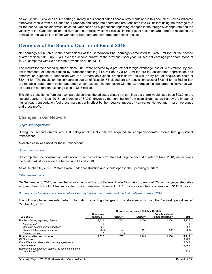As we use the US dollar as our reporting currency in our consolidated financial statements and in this document, unless indicated otherwise, results from our Canadian, European and corporate operations are translated into US dollars using the average rate for the period. Unless otherwise indicated, variances and explanations regarding changes in the foreign exchange rate and the volatility of the Canadian dollar and European currencies which we discuss in the present document are therefore related to the translation into US dollars of our Canadian, European and corporate operations' results.

# **Overview of the Second Quarter of Fiscal 2018**

Net earnings attributable to the shareholders of the Corporation ("net earnings") amounted to \$435.3 million for the second quarter of fiscal 2018, up 35.4% over the second quarter of the previous fiscal year. Diluted net earnings per share stood at \$0.76, compared with \$0.57 for the previous year, up 33.3%.

The results for the second quarter of fiscal 2018 were affected by a pre-tax net foreign exchange loss of \$17.3 million, by pretax incremental expenses caused by hurricanes totaling \$4.8 million, by a \$4.2 million pre-tax accelerated depreciation and amortization expense in connection with the Corporation's global brand initiative, as well as by pre-tax acquisition costs of \$3.4 million. The results for the comparable quarter of fiscal 2017 included pre-tax acquisition costs of \$7.6 million, a \$6.5 million pre-tax accelerated depreciation and amortization expense in connection with the Corporation's global brand initiative, as well as a pre-tax net foreign exchange gain of \$5.3 million.

Excluding these items from both comparable periods, the adjusted diluted net earnings per share would have been \$0.80 for the second quarter of fiscal 2018, an increase of 37.9%, driven by the contribution from acquisitions, as well as by the impact of higher road transportation fuel gross margin, partly offset by the negative impact of Hurricanes Harvey and Irma on revenues and gross profit.

# **Changes in our Network**

### *Single-site acquisitions*

During the second quarter and first half-year of fiscal 2018, we acquired six company-operated stores through distinct transactions.

Available cash was used for these transactions.

### *Store construction*

We completed the construction, relocation or reconstruction of 21 stores during the second quarter of fiscal 2018, which brings the total to 44 stores since the beginning of fiscal 2018.

As of October 15, 2017, 52 stores were under construction and should open in the upcoming quarters.

#### *Other transactions*

On September 6, 2017, as per the requirements of the US Federal Trade Commission, we sold 70 company-operated sites acquired through the CST transaction to Empire Petroleum Partners, LLC ("Empire") for a total consideration of \$143.0 million.

### *Summary of changes in our store network during the second quarter and the first half-year of fiscal 2018*

The following table presents certain information regarding changes in our store network over the 12-week period ended October 15, 2017(1).

|                                                                                         | 12-week period ended October 15, 2017 |              |                     |                                                          |              |  |  |
|-----------------------------------------------------------------------------------------|---------------------------------------|--------------|---------------------|----------------------------------------------------------|--------------|--|--|
| <b>Type of site</b>                                                                     | Company-<br>operated $(2)$            | $CODO^{(3)}$ | DODO <sup>(4)</sup> | <b>Franchised and</b><br>other affiliated <sup>(5)</sup> | <b>Total</b> |  |  |
| Number of sites, beginning of period                                                    | 9,329                                 | 742          | 1.050               | 1.104                                                    | 12,225       |  |  |
| Acquisitions <sup>(7)</sup>                                                             | 6                                     |              |                     |                                                          | 6            |  |  |
| Openings / constructions / additions                                                    | 21                                    |              |                     | 24                                                       | 52           |  |  |
| Closures / disposals / withdrawals                                                      | (31)                                  | (4)          | (11)                | (22)                                                     | (68)         |  |  |
| Store conversion                                                                        |                                       |              |                     |                                                          |              |  |  |
| Number of sites, end of period                                                          | 9.327                                 | 737          | 1,045               | 1.106                                                    | 12.215       |  |  |
| <b>CAPL network</b>                                                                     |                                       |              |                     |                                                          | 1.206        |  |  |
| Circle K branded sites under licensing agreements                                       |                                       |              |                     |                                                          | 1.843        |  |  |
| <b>Total network</b>                                                                    |                                       |              |                     |                                                          | 15,264       |  |  |
| Number of automated fuel stations included in the period-<br>end figures <sup>(6)</sup> |                                       |              |                     |                                                          | 978          |  |  |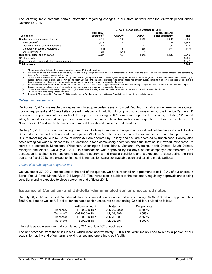The following table presents certain information regarding changes in our store network over the 24-week period ended October 15, 2017(1).

|                                                   | 24-week period ended October 15, 2017 |                     |                     |                                                          |              |  |  |
|---------------------------------------------------|---------------------------------------|---------------------|---------------------|----------------------------------------------------------|--------------|--|--|
| Type of site                                      | Company-<br>operated $(2)$            | CODO <sup>(3)</sup> | DODO <sup>(4)</sup> | <b>Franchised and</b><br>other affiliated <sup>(5)</sup> | <b>Total</b> |  |  |
| Number of sites, beginning of period              | 8,011                                 | 756                 | 1.010               | 1.092                                                    | 10.869       |  |  |
| Acquisitions <sup>(7)</sup>                       | 1.315                                 | 6                   | 47                  |                                                          | 1,368        |  |  |
| Openings / constructions / additions              | 44                                    |                     | 22                  | 58                                                       | 125          |  |  |
| Closures / disposals / withdrawals                | (63)                                  | (5)                 | (35)                | (44)                                                     | (147)        |  |  |
| Store conversion                                  | 20                                    | (21)                |                     |                                                          |              |  |  |
| Number of sites, end of period                    | 9.327                                 | 737                 | 1.045               | 1.106                                                    | 12,215       |  |  |
| CAPL network                                      |                                       |                     |                     |                                                          | 1.206        |  |  |
| Circle K branded sites under licensing agreements |                                       |                     |                     |                                                          | 1.843        |  |  |
| <b>Total network</b>                              |                                       |                     |                     |                                                          | 15,264       |  |  |

(1) These figures include 50% of the stores operated through RDK, a joint venture.<br>(2) Sites for which the real estate is controlled by Couche-Tard (through owners

Sites for which the real estate is controlled by Couche-Tard (through ownership or lease agreements) and for which the stores (and/or the service stations) are operated by Couche-Tard or one of its commission agents.

(3) Sites for which the real estate is controlled by Couche-Tard (through ownership or lease agreements) and for which the stores (and/or the service stations) are operated by an independent operator in exchange for rent and to which Couche-Tard sometimes provides road transportation fuel through supply contracts. Some of these sites are subject to a franchise agreement, licensing or other similar agreement under one of our main or secondary banners.

(4) Sites controlled and operated by independent operators to which Couche-Tard supplies road transportation fuel through supply contracts. Some of these sites are subject to a franchise agreement, licensing or other similar agreement under one of our main or secondary banners. (5) Stores operated by an independent operator through a franchising, licensing or another similar agreement under one of our main or secondary banners.

(6) These sites sell road transportation fuel only. (7) Exclude CST stores sold to Parkland Fuel Corporation and to Empire as well as the Cracker Barrel stores closed at the acquisition date.

#### *Outstanding transactions*

On August 7, 2017, we reached an agreement to acquire certain assets from Jet Pep, Inc., including a fuel terminal, associated trucking equipment and 18 retail sites located in Alabama. In addition, through a distinct transaction, CrossAmerica Partners LP has agreed to purchase other assets of Jet Pep, Inc. consisting of 101 commission operated retail sites, including 92 owned sites, 5 leased sites and 4 independent commission accounts. These transactions are expected to close before the end of November 2017 and will be financed using available cash and existing credit facilities.

On July 10, 2017, we entered into an agreement with Holiday Companies to acquire all issued and outstanding shares of Holiday Stationstores, Inc. and certain affiliated companies ("Holiday"). Holiday is an important convenience store and fuel player in the U.S. Midwest region, with 522 sites, of which 374 are operated by Holiday and 148 are operated by franchisees. Holiday also has a strong car wash business with 221 locations, a food commissary operation and a fuel terminal in Newport, Minnesota. Its stores are located in Minnesota, Wisconsin, Washington State, Idaho, Montana, Wyoming, North Dakota, South Dakota, Michigan and Alaska. On July 31, 2017, this transaction was approved by Holiday's parent company's shareholders. The transaction is subject to the customary regulatory approvals and closing conditions and is expected to close during the third quarter of fiscal 2018. We expect to finance this transaction using our available cash and existing credit facilities.

#### *Transaction subsequent to quarter end*

On November 27, 2017, subsequent to the end of the quarter, we have reached an agreement to sell 100% of our shares in Statoil Fuel & Retail Marine AS to St1 Norge AS. The transaction is subject to the customary regulatory approvals and closing conditions and is expected to close before the end of fiscal 2018.

## **Issuance of Canadian- and US-dollar-denominated senior unsecured notes**

On July 26, 2017, we issued Canadian-dollar-denominated senior unsecured notes totaling CA \$700.0 million (approximately \$558.0 million) as well as US-dollar-denominated senior unsecured notes totaling \$2.5 billion, divided as follows:

|           | <b>Notional amount</b> | <b>Maturity</b> | Coupon rate |
|-----------|------------------------|-----------------|-------------|
| Tranche 6 | \$1,000.0 million      | July 26, 2022   | 2.700%      |
| Tranche 7 | CA\$700.0 million      | July 26, 2024   | 3.056%      |
| Tranche 8 | \$1,000.0 million      | July 26, 2027   | 3.550%      |
| Tranche 9 | \$500.0 million        | July 26, 2047   | 4.500%      |

Interest is payable semi-annually on January  $26<sup>th</sup>$  and July  $26<sup>th</sup>$  of each year.

The net proceeds from those issuances, which were approximately \$3.0 billion, were mainly used to repay a portion of our acquisition facility and of our term revolving unsecured operating credit facility.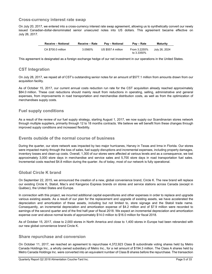## **Cross-currency interest rate swap**

On July 20, 2017, we entered into a cross-currency interest rate swap agreement, allowing us to synthetically convert our newly issued Canadian-dollar-denominated senior unsecured notes into US dollars. This agreement became effective on July 26, 2017.

| <b>Receive - Notional</b> | Receive - Rate | <b>Pav – Notional</b> | Pav – Rate                 | <b>Maturity</b> |
|---------------------------|----------------|-----------------------|----------------------------|-----------------|
| CA \$700.0 million        | 3.0560%        | US \$557.4 million    | From 3.2255%<br>to 3.3350% | July 26, 2024   |

This agreement is designated as a foreign exchange hedge of our net investment in our operations in the United States.

# **CST Integration**

On July 28, 2017, we repaid all of CST's outstanding senior notes for an amount of \$577.1 million from amounts drawn from our acquisition facility.

As of October 15, 2017, our current annual costs reduction run rate for the CST acquisition already reached approximately \$84.0 million. These cost reductions should mainly result from reductions in operating, selling, administrative and general expenses, from improvements in road transportation and merchandise distribution costs, as well as from the optimization of merchandises supply costs.

# **Fuel supply conditions**

As a result of the review of our fuel supply strategy, starting August 1, 2017, we now supply our Scandinavian stores network through multiple suppliers, primarily through 12 to 18 months contracts. We believe we will benefit from these changes through improved supply conditions and increased flexibility.

## **Events outside of the normal course of business**

During the quarter, our store network was impacted by two major hurricanes, Harvey in Texas and Irma in Florida. Our stores were impacted mainly through the loss of sales, fuel supply disruptions and incremental expenses, including property damages, inventory losses and clean-up costs. Overall, 1,300 of our stores were affected at various levels and as a consequence, we lost approximately 3,000 store days in merchandise and service sales and 5,700 store days in road transportation fuel sales. Incremental costs reached \$4.8 million during the quarter. As of today, most of our network is fully operational.

# **Global Circle K brand**

On September 22, 2015, we announced the creation of a new, global convenience brand, Circle K. The new brand will replace our existing Circle K, Statoil, Mac's and Kangaroo Express brands on stores and service stations across Canada (except in Québec), the United States and Europe.

In connection with this project, we incurred additional capital expenditures and other expenses in order to replace and upgrade various existing assets. As a result of our plan for the replacement and upgrade of existing assets, we have accelerated the depreciation and amortization of these assets, including but not limited to, store signage and the Statoil trade name. Consequently, an incremental depreciation and amortization expense of \$4.2 million and of \$7.9 million were recorded to earnings of the second quarter and of the first half-year of fiscal 2018. We expect an incremental depreciation and amortization expense over and above normal levels of approximately \$14.0 million to \$16.0 million for fiscal 2018.

As of October 15, 2017, close to 2,000 stores in North America and close to 1,400 stores in Europe had been rebranded with our new global convenience brand Circle K.

## **Share repurchase and conversion**

On October 11, 2017, we reached an agreement to repurchase 4,372,923 Class B subordinate voting shares held by Metro Canada Holdings Inc., a wholly owned subsidiary of Metro Inc., for a net amount of \$194.3 million. The Class A shares held by Metro Canada Holdings Inc. were converted into an equivalent number of Class B shares before the repurchase. The transaction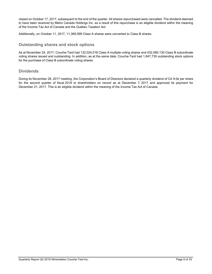closed on October 17, 2017, subsequent to the end of the quarter. All shares repurchased were cancelled. The dividend deemed to have been received by Metro Canada Holdings Inc. as a result of this repurchase is an eligible dividend within the meaning of the Income Tax Act of Canada and the Québec Taxation Act.

Additionally, on October 11, 2017, 11,369,599 Class A shares were converted to Class B shares.

## **Outstanding shares and stock options**

As at November 24, 2017, Couche-Tard had 132,024,018 Class A multiple-voting shares and 432,080,130 Class B subordinate voting shares issued and outstanding. In addition, as at the same date, Couche-Tard had 1,847,735 outstanding stock options for the purchase of Class B subordinate voting shares.

# **Dividends**

During its November 28, 2017 meeting, the Corporation's Board of Directors declared a quarterly dividend of CA 9.0¢ per share for the second quarter of fiscal 2018 to shareholders on record as at December 7, 2017 and approved its payment for December 21, 2017. This is an eligible dividend within the meaning of the Income Tax Act of Canada.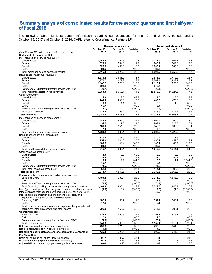# **Summary analysis of consolidated results for the second quarter and first half-year of fiscal 2018**

The following table highlights certain information regarding our operations for the 12 and 24-week periods ended October 15, 2017 and October 9, 2016. CAPL refers to CrossAmerica Partners LP.

|                                                                                                        |              | 12-week periods ended    |              |              | 24-week periods ended    |              |
|--------------------------------------------------------------------------------------------------------|--------------|--------------------------|--------------|--------------|--------------------------|--------------|
|                                                                                                        | October 15,  | October 9,               | Variation    | October 15,  | October 9.               | Variation    |
| (in millions of US dollars, unless otherwise stated)                                                   | 2017         | 2016                     | %            | 2017         | 2016                     | %            |
| <b>Statement of Operations Data:</b>                                                                   |              |                          |              |              |                          |              |
| Merchandise and service revenues $(1)$ :                                                               |              |                          |              |              |                          |              |
| <b>United States</b>                                                                                   | 2,240.5      | 1,791.3                  | 25.1         | 4,221.6      | 3,604.2                  | 17.1         |
| Europe                                                                                                 | 320.1        | 284.0                    | 12.7         | 640.7        | 547.6                    | 17.0         |
| Canada                                                                                                 | 526.3        | 450.9                    | 16.7         | 1,003.4      | 907.2                    | 10.6         |
| CAPL                                                                                                   | 28.5         |                          | 100.0        | 29.5         |                          | 100.0        |
| Total merchandise and service revenues                                                                 | 3,115.4      | 2,526.2                  | 23.3         | 5,895.2      | 5,059.0                  | 16.5         |
| Road transportation fuel revenues:                                                                     |              |                          |              |              |                          |              |
| <b>United States</b>                                                                                   | 5,376.2      | 3,665.0                  | 46.7         | 9,618.2      | 7,472.9                  | 28.7         |
| Europe                                                                                                 | 1,771.7      | 1,477.8                  | 19.9         | 3,369.4      | 2,829.2                  | 19.1         |
| Canada                                                                                                 | 1,147.7      | 523.3                    | 119.3        | 2,115.1      | 1,025.2                  | 106.3        |
| CAPL                                                                                                   | 501.1        |                          | 100.0        | 516.7        |                          | 100.0        |
| Elimination of intercompany transactions with CAPL                                                     | (43.7)       | $\overline{\phantom{a}}$ | (100.0)      | (46.4)       | $\tilde{\phantom{a}}$    | (100.0)      |
| Total road transportation fuel revenues                                                                | 8,753.0      | 5,666.1                  | 54.5         | 15,573.0     | 11,327.3                 | 37.5         |
| Other revenues $(2)$ :                                                                                 |              |                          |              |              |                          |              |
| <b>United States</b>                                                                                   | 4.9          | 3.0                      | 63.3         | 8.0          | 6.0                      | 33.3         |
| Europe                                                                                                 | 249.0        | 249.1                    | 0.0          | 486.5        | 472.6                    | 2.9          |
| Canada                                                                                                 | 6.6          | 1.1                      | 500.0        | 13.0         | 1.2                      | 983.3        |
| CAPL                                                                                                   | 15.7         |                          | 100.0        | 16.4         | $\sim$                   | 100.0        |
| Elimination of intercompany transactions with CAPL                                                     | (4.0)        | $\overline{\phantom{a}}$ | (100.0)      | (4.3)        | $\overline{a}$           | (100.0)      |
| Total other revenues                                                                                   | 272.2        | 253.2                    | 7.5          | 519.6        | 479.8                    | 8.3          |
| <b>Total revenues</b>                                                                                  | 12,140.6     | 8,445.5                  | 43.8         | 21,987.8     | 16,866.1                 | 30.4         |
| Merchandise and service gross profit <sup>(1)</sup> :                                                  |              |                          |              |              |                          |              |
| <b>United States</b>                                                                                   | 742.8        | 597.0                    | 24.4         | 1,402.2      | 1,199.0                  | 16.9         |
| Europe                                                                                                 | 134.5        | 117.5                    | 14.5         | 269.4        | 227.5                    | 18.4         |
| Canada                                                                                                 | 181.9        | 151.6                    | 20.0         | 348.9        | 303.0                    | 15.1         |
| CAPL                                                                                                   | 7.0          |                          | 100.0        | 7.3          |                          | 100.0        |
| Total merchandise and service gross profit                                                             | 1,066.2      | 866.1                    | 23.1         | 2.027.8      | 1,729.5                  | 17.2         |
| Road transportation fuel gross profit:                                                                 |              |                          |              |              |                          |              |
| <b>United States</b>                                                                                   | 537.9        | 348.9                    | 54.2         | 940.4        | 711.4                    | 32.2         |
| Europe                                                                                                 | 254.0        | 241.8                    | 5.0          | 493.1        | 452.0                    | 9.1          |
| Canada                                                                                                 | 100.6        | 41.4                     | 143.0        | 183.2        | 80.7                     | 127.0        |
| CAPL                                                                                                   | 23.2         |                          | 100.0        | 23.9         |                          | 100.0        |
| Total road transportation fuel gross profit                                                            | 915.7        | 632.1                    | 44.9         | 1,640.6      | 1,244.1                  | 31.9         |
| Other revenues gross profit $(2)$ :                                                                    |              |                          |              |              |                          |              |
| <b>United States</b>                                                                                   | 4.9          | 3.0                      | 63.3         | 8.0          | 6.0                      | 33.3         |
| Europe                                                                                                 | 38.8         | 45.2                     | (14.2)       | 81.0         | 86.2                     | (6.0)        |
| Canada                                                                                                 | 6.4          | 1.1                      | 481.8        | 13.0         | 1.1                      | 1,081.8      |
| CAPL                                                                                                   | 15.7         | $\overline{a}$           | 100.0        | 16.4         |                          | 100.0        |
| Elimination of intercompany transactions with CAPL                                                     | (4.0)        |                          | (100.0)      | (4.3)        |                          | (100.0)      |
| Total other revenues gross profit                                                                      | 61.8         | 49.3                     | 25.4         | 114.1        | 93.3                     | 22.3         |
| <b>Total gross profit</b>                                                                              | 2,043.7      | 1,547.5                  | 32.1         | 3,782.5      | 3,066.9                  | 23.3         |
| Operating, selling, administrative and general expenses                                                |              |                          |              |              |                          |              |
| <b>Excluding CAPL</b>                                                                                  | 1,180.4      | 930.1                    | 26.9         | 2,211.9      | 1,845.9                  | 19.8         |
| <b>CAPL</b>                                                                                            | 21.0         |                          | 100.0        | 21.8         |                          | 100.0        |
| Elimination of intercompany transactions with CAPL                                                     | (3.2)        | $\sim$                   | (100.0)      | (4.2)        | $\tilde{\phantom{a}}$    | (100.0)      |
| Total Operating, selling, administrative and general expenses                                          | 1,198.2      | 930.1                    | 28.8         | 2.229.5      | 1,845.9                  | 20.8         |
| Loss (gain) on disposal of property and equipment and other assets                                     | (0.8)        | 0.4                      | (300.0)      | (17.6)       | (1.2)                    | (1,366.7)    |
| Integration and restructuring costs (including \$5.2 million for CAPL)                                 |              |                          |              | 43.2         |                          | 100.0        |
| Depreciation, amortization and impairment of property and                                              |              |                          |              |              |                          |              |
| equipment, intangible assets and other assets                                                          |              |                          |              |              |                          |              |
| <b>Excluding CAPL</b>                                                                                  | 187.4        | 156.7                    | 19.6         | 357.2        | 303.1                    | 17.8         |
| CAPL                                                                                                   | 17.6         | $\overline{\phantom{a}}$ | 100.0        | 18.1         | $\overline{\phantom{a}}$ | 100.0        |
| Total depreciation, amortization and impairment of property and                                        |              |                          |              |              |                          |              |
| equipment, intangible assets and other assets                                                          | 205.0        | 156.7                    | 30.8         | 375.3        | 303.1                    | 23.8         |
| <b>Operating income</b>                                                                                |              |                          |              |              |                          |              |
| <b>Excluding CAPL</b>                                                                                  | 634.8        | 460.3                    | 37.9         | 1,151.2      | 919.1                    | 25.3         |
| CAPL                                                                                                   | 7.3          |                          | 100.0        | 1.0          |                          | 100.0        |
| Elimination of intercompany transactions with CAPL                                                     | (0.8)        |                          | (100.0)      | (0.1)        |                          | (100.0)      |
| Total operating income                                                                                 | 641.3        | 460.3                    | 39.3         | 1,152.1      | 919.1                    | 25.4         |
| Net earnings including non-controlling interest                                                        | 436.3        | 321.5                    | 35.7         | 795.8        | 644.3                    | 23.5         |
| Net loss attributable to non-controlling interest                                                      | (1.0)        |                          | (100.0)      | 4.2          |                          | 100.0        |
| Net earnings attributable to shareholders of the Corporation                                           | 435.3        | 321.5                    | 35.4         | 800.0        | 644.3                    | 24.2         |
|                                                                                                        |              |                          |              |              |                          |              |
| Per Share Data:                                                                                        |              |                          |              |              |                          |              |
| Basic net earnings per share (dollars per share)<br>Diluted net earnings per share (dollars per share) | 0.77<br>0.76 | 0.57<br>0.57             | 35.1<br>33.3 | 1.41<br>1.41 | 1.13<br>1.13             | 24.8<br>24.8 |
| Adjusted diluted net earnings per share (dollars per share)                                            | 0.80         | 0.58                     | 37.9         | 1.47         | 1.15                     | 27.8         |
|                                                                                                        |              |                          |              |              |                          |              |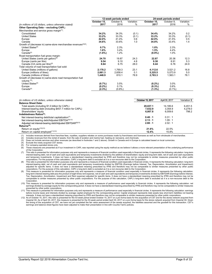|                                                                               | 12-week periods ended |            |               | 24-week periods ended |            |           |
|-------------------------------------------------------------------------------|-----------------------|------------|---------------|-----------------------|------------|-----------|
|                                                                               | October 15,           | October 9, | Variation     | October 15,           | October 9, | Variation |
| (in millions of US dollars, unless otherwise stated)                          | 2017                  | 2016       | $\frac{0}{0}$ | 2017                  | 2016       | $\%$      |
| Other Operating Data - excluding CAPL:                                        |                       |            |               |                       |            |           |
| Merchandise and service gross margin <sup>(1)</sup> :                         |                       |            |               |                       |            |           |
| Consolidated                                                                  | 34.2%                 | 34.3%      | (0.1)         | 34.4%                 | 34.2%      | 0.2       |
| <b>United States</b>                                                          | 33.2%                 | 33.3%      | (0.1)         | 33.2%                 | 33.3%      | (0.1)     |
| Europe                                                                        | 42.0%                 | 41.4%      | 0.6           | 42.0%                 | 41.5%      | 0.5       |
| Canada                                                                        | 34.6%                 | 33.6%      | 1.0           | 34.8%                 | 33.4%      | 1.4       |
| Growth of (decrease in) same-store merchandise revenues <sup>(3)(4)</sup> :   |                       |            |               |                       |            |           |
| United States <sup>(5)</sup>                                                  | 0.7%                  | 2.3%       |               | $1.0\%$               | 2.3%       |           |
| Europe                                                                        | 1.6%                  | 3.4%       |               | 1.5%                  | 4.4%       |           |
| Canada $(5)$                                                                  | $(1.6\%)$             | 1.2%       |               | $(0.9\%)$             | 1.0%       |           |
| Road transportation fuel gross margin:                                        |                       |            |               |                       |            |           |
| United States (cents per gallon) <sup>(5)</sup>                               | 24.70                 | 19.87      | 24.3          | 22.87                 | 20.36      | 12.3      |
| Europe (cents per litre)                                                      | 9.54                  | 9.10       | 4.8           | 9.38                  | 8.91       | 5.3       |
| Canada (CA cents per litre) <sup>(5)</sup>                                    | 8.64                  | 6.75       | 28.0          | 8.44                  | 6.76       | 24.9      |
| Total volume of road transportation fuel sold:                                |                       |            |               |                       |            |           |
| United States (millions of gallons)                                           | 2,178.2               | 1.769.3    | 23.1          | 4,112.6               | 3,521.2    | 16.8      |
| Europe (millions of litres)                                                   | 2,661.3               | 2,658.4    | 0.1           | 5,325.5               | 5,073.9    | 5.0       |
| Canada (millions of litres)                                                   | 1,448.9               | 810.1      | 78.9          | 2,783.3               | 1,563.1    | 78.1      |
| Growth of (decrease in) same-store road transportation fuel<br>volume $(4)$ . |                       |            |               |                       |            |           |
| United States <sup>(5)</sup>                                                  | $(0.7\%)$             | 3.5%       |               | $(0.2\%)$             | 3.0%       |           |
| Europe                                                                        | $(0.2\%)$             | 0.1%       |               | $(0.3\%)$             | $0.6\%$    |           |
| Canada <sup>(5)</sup>                                                         | (2.3%)                | $(0.8\%)$  |               | (1.3%)                | $(0.1\%)$  |           |

| (in millions of US dollars, unless otherwise stated)                   | October 15, 2017 | April 30, 2017 | Variation \$ |
|------------------------------------------------------------------------|------------------|----------------|--------------|
| <b>Balance Sheet Data:</b>                                             |                  |                |              |
| Total assets (including \$1.0 billion for CAPL)                        | 20.637.1         | 14.185.6       | 6.451.5      |
| Interest-bearing debt (including \$457.7 million for CAPL)             | 7.632.9          | 3.354.9        | 4.278.0      |
| Shareholders' equity                                                   | 6.807.8          | 6.009.6        | 798.2        |
| Indebtedness Ratios(6):                                                |                  |                |              |
| Net interest-bearing debt/total capitalization <sup>(7)</sup>          | 0.48:1           | 0.31 : 1       |              |
| Net interest-bearing debt/Adjusted EBITDA $(8)(12)$                    | 2.13:1           | 1.09:1         |              |
| Adjusted net interest-bearing debt/Adjusted EBITDAR <sup>(9)(12)</sup> | 2.88:1           | 2.02 : 1       |              |
| Returns <sup>(6)</sup> :                                               |                  |                |              |
| Return on equity $(10)(12)$                                            | 21.6%            | 22.5%          |              |
| Return on capital employed $(11)(12)$                                  | 12.4%            | 15.8%          |              |

(1) Includes revenues derived from franchise fees, royalties, suppliers rebates on some purchases made by franchisees and licensees as well as from wholesale of merchandise.<br>(2) Includes revenues from the rental of assets,

(3) Does not include services and other revenues (as described in footnotes 1 and 2 above). Growth in Canada and in Europe is calculated based on local currencies.<br>(4) Exclude the newly acquired CST stores.

(4) Exclude the newly acquired CST stores.<br>(5) For company-operated stores only.

(5) For company-operated stores only.<br>
(6) These measures are presented as

These measures are presented as if our investment in CAPL was reported using the equity method as we believe it allows a more relevant presentation of the underlying performance of the Corporation.

(7) This ratio is presented for information purposes only and represents a measure of financial condition used especially in financial circles. It represents the following calculation: long-term interest-bearing debt, net of cash and cash equivalents and temporary investments divided by the addition of shareholders' equity and long-term debt, net of cash and cash equivalents and temporary investments. It does not have a standardized meaning prescribed by IFRS and therefore may not be comparable to similar measures presented by other public corporations. For the purpose of this calculation, CAPL's long-term debt is excluded as it is a non-recourse debt to the Corporation.<br>(8) This ratio is presented for information purposes only and represents a measure of fi

interest-bearing debt, net of cash and cash equivalents and temporary investments divided by EBITDA (Earnings before Interest, Tax, Depreciation, Amortization and Impairment)<br>adjusted for specific items. It does not have a

(9) This measure is presented for information purposes only and represents a measure of financial condition used especially in financial circles. It represents the following calculation:<br>long-term interest-bearing debt plu Corporation.

(10) This measure is presented for information purposes only and represents a measure of performance used especially in financial circles. It represents the following calculation: net<br>earnings divided by average equity for presented by other public corporations.

(11) This measure is presented for information purposes only and represents a measure of performance used especially in financial circles. It represents the following calculation: earnings<br>before income taxes and interests interests. It does not have a standardized meaning prescribed by IFRS and therefore may not be comparable to similar measures presented by other public corporations.

(12) As of October 15, 2017, this ratio is presented for the 53-week period ended October 15, 2017 on a pro forma basis for the acquisition of CST and for the stores network acquired from<br>Imperial Oil. As of April 30, 2017 the timing of the acquisition of CST, we have not yet completed the fair value assessment of the assets acquired, the liabilities assumed and the goodwill for this transaction. CST's<br>earnings and balance sheet figures have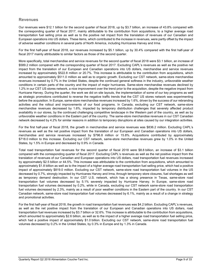# **Revenues**

Our revenues were \$12.1 billion for the second quarter of fiscal 2018, up by \$3.7 billion, an increase of 43.8% compared with the corresponding quarter of fiscal 2017, mainly attributable to the contribution from acquisitions, to a higher average road transportation fuel selling price as well as to the positive net impact from the translation of revenues of our Canadian and European operations into US dollars. These items, which contributed to the increase in revenues, were partly offset by the impact of adverse weather conditions in several parts of North America, including Hurricanes Harvey and Irma.

For the first half-year of fiscal 2018, our revenues increased by \$5.1 billion, up by 30.4% compared with the first half-year of fiscal 2017 mainly attributable to similar factors as those of the second quarter.

More specifically, total merchandise and service revenues for the second quarter of fiscal 2018 were \$3.1 billion, an increase of \$589.2 million compared with the corresponding quarter of fiscal 2017. Excluding CAPL's revenues as well as the positive net impact from the translation of our European and Canadian operations into US dollars, merchandise and service revenues increased by approximately \$522.8 million or 20.7%. This increase is attributable to the contribution from acquisitions, which amounted to approximately \$511.0 million as well as to organic growth. Excluding our CST network, same-store merchandise revenues increased by 0.7% in the United States, despite the continued general softness in the industry, unfavorable weather conditions in certain parts of the country and the impact of major hurricanes. Same-store merchandise revenues declined by 1.2% in our CST US stores network, a nice improvement over the trend prior to the acquisition, despite the negative impact from Hurricane Harvey. During the quarter, the work we did on site layouts, the implementation of some of our key programs as well as strategic promotions contributed to reverse the negative traffic trends that the CST US stores network was experimenting before the acquisition. In Europe, same-store merchandise revenues increased by 1.6%, driven by the success of our rebranding activities and the rollout and improvements of our food programs. In Canada, excluding our CST network, same-store merchandise revenues decreased by 1.6%, impacted by temporary distribution challenges that severely affected product availability in our stores, by the continued challenging competitive landscape in the Western part of the country, as well as by unfavorable weather conditions in the Eastern part of the country. The same-store merchandise revenues in our CST Canadian network decreased by 4.2% for similar reasons in addition to temporary disruptions at sites caused by our integration activities.

For the first half-year of fiscal 2018, the growth in merchandise and service revenues was \$836.2 million. Excluding CAPL's revenues as well as the net positive impact from the translation of our European and Canadian operations into US dollars, merchandise and service revenues increased by \$796.8 million or 15.8%. Acquisitions contributed by approximately \$718.0 million to this increase. Excluding our CST network, same-store merchandise revenues grew by 1.0% in the United States, by 1.5% in Europe and decreased by 0.9% in Canada.

Total road transportation fuel revenues for the second quarter of fiscal 2018 were \$8.8 billion, an increase of \$3.1 billion compared with the corresponding quarter of fiscal 2017. Excluding CAPL's revenues as well as the net positive impact from the translation of revenues of our Canadian and European operations into US dollars, road transportation fuel revenues increased by approximately \$2.5 billion or 44.5%. This increase was attributable to the contribution from acquisitions, which amounted to approximately \$1.8 billion as well as to the impact of a higher average road transportation fuel selling price, which had a positive impact of approximately \$819.0 million. Excluding our CST network, same-store road transportation fuel volumes in the US decreased by 0.7%, strongly impacted by Hurricanes Harvey and Irma, through temporary store closures, fuel shortages as well as temporary demand destruction. In our CST U.S. network, which has a strong presence in Texas, same-store road transportation fuel volumes decreased by 5.1% severely impacted by Hurricane Harvey. In Europe, same-store road transportation fuel volumes decreased by 0.2%, while in Canada, excluding our CST network same-store road transportation fuel volumes decreased by 2.3%, mainly as a result of poor weather conditions in the Eastern part of the country. In our CST Canadian network, same-store road transportation fuel volumes decreased by 6.1%, mainly as a result of a change in strategy and promotional activities.

For the first half-year of fiscal 2018, the growth in road transportation fuel revenues was \$4.2 billion. Excluding CAPL's revenues, as well as the net positive impact from the translation of our European and Canadian operations into US dollars, road transportation fuel revenues increased by \$3.7 billion or 32.6%. This increase is attributable to the contribution from acquisitions, which amounted to approximately \$2.6 billion, as well as to the impact of a higher average road transportation fuel selling price, which had a positive impact of approximately \$1.0 billion. Excluding our CST network, same-store road transportation fuel volumes decreased by 0.2% in the United States, by 0.3% in Europe and by 1.3% in Canada.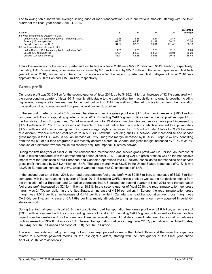The following table shows the average selling price of road transportation fuel in our various markets, starting with the third quarter of the fiscal year ended April 24, 2016:

| Quarter                                                | 3 <sup>rd</sup> | 4 <sup>th</sup> | 1 <sub>st</sub> | 2 <sub>nd</sub> | Weighted<br>average |
|--------------------------------------------------------|-----------------|-----------------|-----------------|-----------------|---------------------|
| 53-week period ended October 15, 2017                  |                 |                 |                 |                 |                     |
| United States (US dollars per gallon) - excluding CAPL | 2.18            | 2.25            | 2.21            | 2.47            | 2.28                |
| Europe (US cents per litre)                            | 61.87           | 62.46           | 61.39           | 68.23           | 63.58               |
| Canada (CA cents per litre)                            | 94.67           | 97.20           | 99.81           | 101.46          | 98.18               |
| 52-week period ended October 9, 2016                   |                 |                 |                 |                 |                     |
| United States (US dollars per gallon) - excluding CAPL | 1.99            | 1.86            | 2.20            | 2.10            | 2.04                |
| Europe (US cents per litre)                            | 57.04           | 51.59           | 58.65           | 58.01           | 56.29               |
| Canada (CA cents per litre)                            | 88.41           | 82.28           | 92.66           | 90.36           | 88.63               |

Total other revenues for the second quarter and first half-year of fiscal 2018 were \$272.2 million and \$519.6 million, respectively. Excluding CAPL's revenues, other revenues increased by \$7.3 million and by \$27.7 million in the second quarter and first halfyear of fiscal 2018, respectively. The impact of acquisition for the second quarter and first half-year of fiscal 2018 was approximately \$8.0 million and \$15.0 million, respectively.

# **Gross profit**

Our gross profit was \$2.0 billion for the second quarter of fiscal 2018, up by \$496.2 million, an increase of 32.1% compared with the corresponding quarter of fiscal 2017, mainly attributable to the contribution from acquisitions, to organic growth, including higher road transportation fuel margins, to the contribution from CAPL as well as to the net positive impact from the translation of operations of our Canadian and European operations into US dollars.

In the second quarter of fiscal 2018, our merchandise and service gross profit was \$1.1 billion, an increase of \$200.1 million compared with the corresponding quarter of fiscal 2017. Excluding CAPL's gross profit as well as the net positive impact from the translation of our European and Canadian operations into US dollars, merchandise and service gross profit increased by \$179.1 million or 20.7%. This increase is attributable to the contribution from acquisitions, which amounted to approximately \$172.0 million and to our organic growth. Our gross margin slightly decreased by 0.1% in the United States to 33.2% because of a different revenue mix and cost structure in our CST network. Excluding our CST network, our merchandise and service gross margin in the U.S. was 33.5%, an increase of 0.2%. Our gross margin increased by 0.6% in Europe to 42.0%, benefiting from the roll-out of our food programs in our recently acquired stores. In Canada, our gross margin increased by 1.0% to 34.6% because of a different revenue mix in our recently acquired Imperial Oil stores network.

During the first half-year of fiscal 2018, the consolidated merchandise and service gross profit was \$2.0 billion, an increase of \$298.3 million compared with the corresponding period of fiscal 2017. Excluding CAPL's gross profit as well as the net positive impact from the translation of our European and Canadian operations into US dollars, consolidated merchandise and service gross profit increased by \$284.0 million or 16.4%. The gross margin was 33.2% in the United States, a decrease of 0.1%, it was 42.0% in Europe, an increase of 0.5%, while in Canada it was 34.8%, an increase of 1.4%.

In the second quarter of fiscal 2018, our road transportation fuel gross profit was \$915.7 million, an increase of \$283.6 million compared with the corresponding quarter of fiscal 2017. Excluding CAPL's gross profit as well as the net positive impact from the translation of our European and Canadian operations into US dollars, our second quarter of fiscal 2018 road transportation fuel gross profit increased by \$245.4 million or 38.8%. In the second quarter of fiscal 2018, the road transportation fuel gross margin was 24.70¢ per gallon in the United States, an increase of 4.83¢ per gallon. In Europe, the road transportation gross margin was 9.54¢ per litre, an increase of 0.44¢ per litre, while in Canada, the road transportation fuel gross margin was CA 8.64¢ per litre, an increase of CA 1.89¢ per litre, mainly attributable to higher margins in our newly acquired Imperial Oil stores network.

During the first half-year of fiscal 2018, the consolidated road transportation fuel gross profit was \$1.6 billion, an increase of \$396.5 million compared with the corresponding period of fiscal 2017. Excluding CAPL's gross profit as well as the net positive impact from the translation of our European and Canadian operations into US dollars, consolidated road transportation fuel gross profit increased by \$362.6 million or 29.1%. The road transportation fuel gross margin was 22.87¢ per gallon in the United States, CA 8.44¢ per litre in Canada and stood at 9.38¢ per litre in Europe.

The road transportation fuel gross margin of our company-operated stores in the United States and the impact of expenses related to electronic payment modes for the last eight quarters, starting with the third quarter of the fiscal year ended April 24, 2016, were as follows: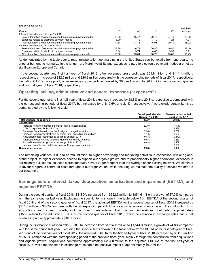(US cents per gallon)

| Quarter                                                          | 3rd   | 4 <sup>th</sup> | 1 <sub>st</sub> | 2 <sub>nd</sub> | Weighted<br>average |
|------------------------------------------------------------------|-------|-----------------|-----------------|-----------------|---------------------|
| 53-week period ended October 15, 2017                            |       |                 |                 |                 |                     |
| Before deduction of expenses related to electronic payment modes | 18.33 | 15.47           | 20.75           | 24.70           | 20.06               |
| Expenses related to electronic payment modes                     | 3.99  | 4.12            | 3.79            | 4.21            | 4.04                |
| After deduction of expenses related to electronic payment modes  | 14.34 | 11.35           | 16.96           | 20.49           | 16.02               |
| 52-week period ended October 9, 2016                             |       |                 |                 |                 |                     |
| Before deduction of expenses related to electronic payment modes | 19.90 | 16.78           | 20.86           | 19.87           | 19.40               |
| Expenses related to electronic payment modes                     | 3.84  | 3.74            | 4.08            | 3.99            | 3.91                |
| After deduction of expenses related to electronic payment modes  | 16.06 | 13.04           | 16.78           | 15.88           | 15.49               |

As demonstrated by the table above, road transportation fuel margins in the United States can be volatile from one quarter to another but tend to normalize in the longer run. Margin volatility and expenses related to electronic payment modes are not as significant in Europe and Canada.

In the second quarter and first half-year of fiscal 2018, other revenues gross profit was \$61.8 million and \$114.1 million, respectively, an increase of \$12.5 million and \$20.8 million compared with the corresponding periods of fiscal 2017, respectively. Excluding CAPL's gross profit, other revenues gross profit increased by \$0.8 million and by \$8.7 million in the second quarter and first half-year of fiscal 2018, respectively.

# **Operating, selling, administrative and general expenses ("expenses")**

For the second quarter and first half-year of fiscal 2018, expenses increased by 28.8% and 20.8%, respectively, compared with the corresponding periods of fiscal 2017, but increased by only 2.6% and 2.1%, respectively, if we exclude certain items as demonstrated by the following table:

|                                                                      | 12-week period ended<br>October 15, 2017 | 24-week period ended<br>October 15, 2017 |
|----------------------------------------------------------------------|------------------------------------------|------------------------------------------|
| Total variance, as reported                                          | 28.8%                                    | 20.8%                                    |
| Adjusted for:                                                        |                                          |                                          |
| Increase from incremental expenses related to acquisitions           | 20.4%                                    | 14.8%                                    |
| CAPL's expenses for fiscal 2018                                      | 2.3%                                     | 1.2%                                     |
| Decrease from the net impact of foreign exchange translation         | 2.3%                                     | 0.7%                                     |
| Increase from higher electronic payment fees, excluding acquisitions | 1.1%                                     | 0.9%                                     |
| Acquisition costs recognized to earnings of fiscal 2017              | $(0.8\%)$                                | $(0.5\%)$                                |
| Additional costs incurred following Hurricanes Harvey and Irma       | 0.5%                                     | 0.3%                                     |
| Acquisition costs recognized to earnings of fiscal 2018              | 0.4%                                     | 0.4%                                     |
| Increase from the five additional days for European operations       |                                          | $0.9\%$                                  |
| <b>Remaining variance</b>                                            | 2.6%                                     | 2.1%                                     |

The remaining variance is due to normal inflation, to higher advertising and marketing activities in connection with our global brand project, to higher expenses needed to support our organic growth and to proportionally higher operational expenses in our recently built stores, as these stores generally have a larger footprint than the average of our existing network. We continue to favour a rigorous control of costs throughout our organization, while ensuring we maintain the quality of service we offer to our customers.

# **Earnings before interest, taxes, depreciation, amortization and impairment (EBITDA) and adjusted EBITDA**

During the second quarter of fiscal 2018, EBITDA increased from \$622.3 million to \$854.6 million, a growth of 37.3% compared with the same quarter last year. Excluding the specific items shown in the table below from EBITDA of the second quarter of fiscal 2018 and of the second quarter of fiscal 2017, the adjusted EBITDA for the second quarter of fiscal 2018 increased by \$211.8 million or 33.6% compared with the corresponding period of the previous fiscal year, mainly through the contribution from acquisitions and organic growth, including road transportation fuel margins. Acquisitions contributed approximately \$158.0 million to the adjusted EBITDA of the second quarter of fiscal 2018, while the variation in exchange rates had a net positive impact of approximately \$10.0 million.

During the first half-year of fiscal 2018, EBITDA increased from \$1,237.0 million to \$1,544.3 million, a growth of 24.8% compared with the same period last year. Excluding the specific items shown in the table below from EBITDA of the first half-year of fiscal 2018 and of the first half-year of fiscal 2017, the adjusted EBITDA for the first half-year of fiscal 2018 increased by \$311.5 million or 25.0% compared with the corresponding period of the previous fiscal year, mainly through the contribution from acquisitions and organic growth. Acquisitions contributed approximately \$234.0 million to the adjusted EBITDA of the first half-year of fiscal 2018, while the variation in exchange rates had a net positive impact of approximately \$6.0 million.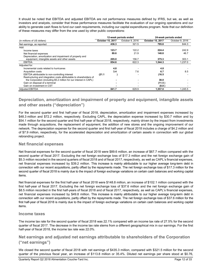It should be noted that EBITDA and adjusted EBITDA are not performance measures defined by IFRS, but we, as well as investors and analysts, consider that those performance measures facilitate the evaluation of our ongoing operations and our ability to generate cash flows to fund our cash requirements, including our capital expenditures program. Note that our definition of these measures may differ from the one used by other public corporations:

|                                                                     | 12-week periods ended |       |                 | 24-week periods ended |                 |  |
|---------------------------------------------------------------------|-----------------------|-------|-----------------|-----------------------|-----------------|--|
| (in millions of US dollars)                                         | October 15, 2017      |       | October 9, 2016 | October 15, 2017      | October 9, 2016 |  |
| Net earnings, as reported                                           |                       | 436.3 | 321.5           | 795.8                 | 644.3           |  |
| Add:                                                                |                       |       |                 |                       |                 |  |
| Income taxes                                                        |                       | 123.7 | 122.2           | 224.4                 | 242.9           |  |
| Net financial expenses                                              |                       | 89.6  | 21.9            | 148.8                 | 46.7            |  |
| Depreciation, amortization and impairment of property and           |                       |       |                 |                       |                 |  |
| equipment, intangible assets and other assets                       |                       | 205.0 | 156.7           | 375.3                 | 303.1           |  |
| <b>EBITDA</b>                                                       |                       | 854.6 | 622.3           | 1.544.3               | 1.237.0         |  |
| Adjusted for:                                                       |                       |       |                 |                       |                 |  |
| Incremental costs related to hurricanes                             |                       | 4.8   |                 | 4.8                   |                 |  |
| <b>Acquisition costs</b>                                            |                       | 3.4   | 7.6             | 6.7                   | 8.5             |  |
| EBITDA attributable to non-controlling interest                     | (21.1)                |       |                 | (16.5)                |                 |  |
| Restructuring and integration costs attributable to shareholders of |                       |       |                 |                       |                 |  |
| the Corporation (including \$5.2 million for our interest in CAPL)  |                       |       |                 | 38.0                  |                 |  |
| Gain on disposal of a terminal                                      |                       | -     |                 | (11.5)                |                 |  |
| Gain on investment in CST                                           |                       |       |                 | (8.8)                 |                 |  |
| <b>Adjusted EBITDA</b>                                              |                       | 841.7 | 629.9           | 1,557.0               | 1.245.5         |  |

# **Depreciation, amortization and impairment of property and equipment, intangible assets and other assets ("depreciation")**

For the second quarter and first half-year of fiscal 2018, depreciation, amortization and impairment expenses increased by \$48.3 million and \$72.2 million, respectively. Excluding CAPL, the depreciation expense increased by \$30.7 million and by \$54.1 million for the second quarter and first half-year of fiscal 2018, respectively, mainly driven by the impact from investments made through acquisitions, the replacement of equipment, the addition of new stores and the ongoing improvement of our network. The depreciation expense for the second quarter and first half-year of fiscal 2018 includes a charge of \$4.2 million and of \$7.9 million, respectively, for the accelerated depreciation and amortization of certain assets in connection with our global rebranding project.

# **Net financial expenses**

Net financial expenses for the second quarter of fiscal 2018 were \$89.6 million, an increase of \$67.7 million compared with the second quarter of fiscal 2017. Excluding the net foreign exchange loss of \$17.3 million and the net foreign exchange gain of \$5.3 million recorded in the second quarters of fiscal 2018 and of fiscal 2017, respectively, as well as CAPL's financial expenses, net financial expenses increased by \$39.2 million. This increase is mainly attributable to our higher average long-term debt in connection with our recent acquisitions, partly offset by the repayments made. The net foreign exchange loss of \$17.3 million for the second quarter of fiscal 2018 is mainly due to the impact of foreign exchange variations on certain cash balances and working capital items.

Net financial expenses for the first half-year of fiscal 2018 were \$148.8 million, an increase of \$102.1 million compared with the first half-year of fiscal 2017. Excluding the net foreign exchange loss of \$37.6 million and the net foreign exchange gain of \$8.5 million recorded in the first half-years of fiscal 2018 and of fiscal 2017, respectively, as well as CAPL's financial expenses, net financial expenses increased by \$49.8 million. This increase is mainly attributable to our higher average long-term debt in connection with our recent acquisitions, partly offset by the repayments made. The net foreign exchange loss of \$37.6 million for the first half-year of fiscal 2018 is mainly due to the impact of foreign exchange variations on certain cash balances and working capital items.

# **Income taxes**

The income tax rate for the second quarter of fiscal 2018 was 22.1% compared with an income tax rate of 27.5% for the second quarter of fiscal 2017. The decrease in the income tax rate stems from a different geographical mix in our earnings. For the first half-year of fiscal 2018, the income tax rate was 22.0%.

# **Net earnings and adjusted net earnings attributable to shareholders of the Corporation ("net earnings")**

We closed the second quarter of fiscal 2018 with net earnings of \$435.3 million, compared with \$321.5 million for the second quarter of the previous fiscal year, an increase of \$113.8 million or 35.4%. Diluted net earnings per share stood at \$0.76,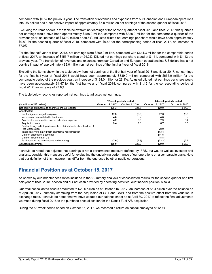compared with \$0.57 the previous year. The translation of revenues and expenses from our Canadian and European operations into US dollars had a net positive impact of approximately \$5.0 million on net earnings of the second quarter of fiscal 2018.

Excluding the items shown in the table below from net earnings of the second quarter of fiscal 2018 and fiscal 2017, this quarter's net earnings would have been approximately \$458.0 million, compared with \$328.0 million for the comparable quarter of the previous year, an increase of \$130.0 million or 39.6%. Adjusted diluted net earnings per share would have been approximately \$0.80 for the second quarter of fiscal 2018, compared with \$0.58 for the corresponding period of fiscal 2017, an increase of 37.9%.

For the first half-year of fiscal 2018, net earnings were \$800.0 million, compared with \$644.3 million for the comparable period of fiscal 2017, an increase of \$155.7 million or 24.2%. Diluted net earnings per share stood at \$1.41, compared with \$1.13 the previous year. The translation of revenues and expenses from our Canadian and European operations into US dollars had a net positive impact of approximately \$2.0 million on net earnings of the first half-year of fiscal 2018.

Excluding the items shown in the table below from net earnings of the first half-year of fiscal 2018 and fiscal 2017, net earnings for the first half-year of fiscal 2018 would have been approximately \$839.0 million, compared with \$655.0 million for the comparable period of the previous year, an increase of \$184.0 million or 28.1%. Adjusted diluted net earnings per share would have been approximately \$1.47 for the first half-year of fiscal 2018, compared with \$1.15 for the corresponding period of fiscal 2017, an increase of 27.8%.

The table below reconciles reported net earnings to adjusted net earnings:

|                                                                       |                  | 12-week periods ended | 24-week periods ended |                 |  |
|-----------------------------------------------------------------------|------------------|-----------------------|-----------------------|-----------------|--|
| (in millions of US dollars)                                           | October 15, 2017 | October 9, 2016       | October 15, 2017      | October 9, 2016 |  |
| Net earnings attributable to shareholders, as reported                | 435.3            | 321.5                 | 800.0                 | 644.3           |  |
| Adjusted for:                                                         |                  |                       |                       |                 |  |
| Net foreign exchange loss (gain)                                      | 17.3             | (5.3)                 | 37.6                  | (8.5)           |  |
| Incremental costs related to hurricanes                               | 4.8              |                       | 4.8                   |                 |  |
| Accelerated depreciation and amortization expense                     | 4.2              | 6.5                   | 7.9                   | 13.4            |  |
| <b>Acquisition costs</b>                                              | 3.4              | 7.6                   | 6.7                   | 8.5             |  |
| Restructuring and integration costs - attributable to shareholders of |                  |                       |                       |                 |  |
| the Corporation                                                       |                  |                       | 38.0                  |                 |  |
| Tax recovery stemming from an internal reorganization                 |                  |                       | (13.4)                |                 |  |
| Gain on disposal of a terminal                                        |                  |                       | (11.5)                |                 |  |
| Gain on investment in CST                                             |                  |                       | (8.8)                 |                 |  |
| Tax impact of the items above and rounding                            | (7.0 )           | (2.3)                 | (22.3)                | (2.7)           |  |
| Adjusted net earnings                                                 | 458.0            | 328.0                 | 839.0                 | 655.0           |  |

It should be noted that adjusted net earnings is not a performance measure defined by IFRS, but we, as well as investors and analysts, consider this measure useful for evaluating the underlying performance of our operations on a comparable basis. Note that our definition of this measure may differ from the one used by other public corporations.

# **Financial Position as at October 15, 2017**

As shown by our indebtedness ratios included in the "Summary analysis of consolidated results for the second quarter and first half-year of fiscal 2018" section and our net cash provided by operating activities, our financial position is solid.

Our total consolidated assets amounted to \$20.6 billion as at October 15, 2017, an increase of \$6.4 billion over the balance as at April 30, 2017, primarily stemming from the acquisition of CST and CAPL and from the positive effect from the variation in exchange rates. It should be noted that we have updated our balance sheet as at April 30, 2017 to reflect the final adjustments we made during fiscal 2018 to the purchase price allocation for the Dansk Fuel A/S acquisition.

During the 53-week period ended on October 15, 2017, we recorded a return on capital employed of 12.4%.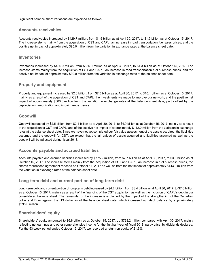Significant balance sheet variations are explained as follows:

# **Accounts receivables**

Accounts receivables increased by \$429.7 million, from \$1.5 billion as at April 30, 2017, to \$1.9 billion as at October 15, 2017. The increase stems mainly from the acquisition of CST and CAPL, an increase in road transportation fuel sales prices, and the positive net impact of approximately \$95.0 million from the variation in exchange rates at the balance sheet date.

## **Inventories**

Inventories increased by \$436.9 million, from \$865.0 million as at April 30, 2017, to \$1.3 billion as at October 15, 2017. The increase stems mainly from the acquisition of CST and CAPL, an increase in road transportation fuel purchase prices, and the positive net impact of approximately \$30.0 million from the variation in exchange rates at the balance sheet date.

# **Property and equipment**

Property and equipment increased by \$2.6 billion, from \$7.5 billion as at April 30, 2017, to \$10.1 billion as at October 15, 2017, mainly as a result of the acquisition of CST and CAPL, the investments we made to improve our network, and the positive net impact of approximately \$300.0 million from the variation in exchange rates at the balance sheet date, partly offset by the depreciation, amortization and impairment expense.

# **Goodwill**

Goodwill increased by \$2.5 billion, from \$2.4 billion as at April 30, 2017, to \$4.9 billion as at October 15, 2017, mainly as a result of the acquisition of CST and CAPL, and of the positive net impact of approximately \$112.0 million from the variation in exchange rates at the balance sheet date. Since we have not yet completed our fair value assessment of the assets acquired, the liabilities assumed and the goodwill for CST, we expect that the fair values of assets acquired and liabilities assumed as well as the goodwill will be adjusted during fiscal 2018.

# **Accounts payable and accrued liabilities**

Accounts payable and accrued liabilities increased by \$775.2 million, from \$2.7 billion as at April 30, 2017, to \$3.5 billion as at October 15, 2017. The increase stems mainly from the acquisition of CST and CAPL, an increase in fuel purchase prices, the shares repurchase agreement reached on October 11, 2017 as well as from the net impact of approximately \$143.0 million from the variation in exchange rates at the balance sheet date.

# **Long-term debt and current portion of long-term debt**

Long-term debt and current portion of long-term debt increased by \$4.2 billion, from \$3.4 billion as at April 30, 2017, to \$7.6 billion as at October 15, 2017, mainly as a result of the financing of the CST acquisition, as well as the inclusion of CAPL's debt in our consolidated balance sheet. The remainder of the increase is explained by the impact of the strengthening of the Canadian dollar and Euro against the US dollar as of the balance sheet date, which increased our debt balance by approximately \$295.0 million.

# **Shareholders' equity**

Shareholders' equity amounted to \$6.8 billion as at October 15, 2017, up \$798.2 million compared with April 30, 2017, mainly reflecting net earnings and other comprehensive income for the first half-year of fiscal 2018, partly offset by dividends declared. For the 53-week period ended October 15, 2017, we recorded a return on equity of 21.6%.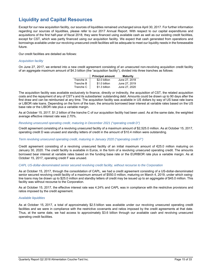# **Liquidity and Capital Resources**

Except for our new acquisition facility, our sources of liquidities remained unchanged since April 30, 2017. For further information regarding our sources of liquidities, please refer to our 2017 Annual Report. With respect to our capital expenditures and acquisitions of the first half-year of fiscal 2018, they were financed using available cash as well as our existing credit facilities, except for CST, which was partly financed using our acquisition facility. We expect that cash generated from operations and borrowings available under our revolving unsecured credit facilities will be adequate to meet our liquidity needs in the foreseeable future.

Our credit facilities are detailed as follows:

### *Acquisition facility*

On June 27, 2017, we entered into a new credit agreement consisting of an unsecured non-revolving acquisition credit facility of an aggregate maximum amount of \$4.3 billion (the "acquisition facility"), divided into three tranches as follows:

|           | <b>Principal amount</b> | <b>Maturity</b> |
|-----------|-------------------------|-----------------|
| Tranche A | \$2.0 billion           | June 27, 2018   |
| Tranche B | \$1.0 billion           | June 27, 2019   |
| Tranche C | \$1.3 billion           | June 27, 2020   |

The acquisition facility was available exclusively to finance, directly or indirectly, the acquisition of CST, the related acquisition costs and the repayment of any of CST's and its subsidiaries' outstanding debt. Amounts could be drawn up to 90 days after the first draw and can be reimbursed at any time. The acquisition facility was available in US dollars by way of US base rate loans or LIBOR rate loans. Depending on the form of the loan, the amounts borrowed bear interest at variable rates based on the US base rate or the LIBOR rate plus a variable margin.

As at October 15, 2017, \$1.2 billion of the tranche C of our acquisition facility had been used. As at the same date, the weighted average effective interest rate was 2.70%.

#### *Revolving unsecured operating credit, maturing in December 2021 ("operating credit D")*

Credit agreement consisting of a revolving unsecured facility of a maximum amount of \$2,525.0 million. As at October 15, 2017, operating credit D was unused and standby letters of credit in the amount of \$10.4 million were outstanding.

### *Term revolving unsecured operating credit, maturing in January 2020 ("operating credit F")*

Credit agreement consisting of a revolving unsecured facility of an initial maximum amount of €25.0 million maturing on January 30, 2020. The credit facility is available in Euros, in the form of a revolving unsecured operating credit. The amounts borrowed bear interest at variable rates based on the funding base rate or the EURIBOR rate plus a variable margin. As at October 15, 2017, operating credit F was unused.

#### *CAPL US-dollar-denominated senior secured revolving credit facility, without recourse to the Corporation*

As at October 15, 2017, through the consolidation of CAPL, we had a credit agreement consisting of a US-dollar-denominated senior secured revolving credit facility of a maximum amount of \$550.0 million, maturing on March 4, 2019, under which swingline loans may be drawn up to \$25.0 million and standby letters of credit may be issued up to an aggregate of \$45.0 million. This facility was without recourse to the Corporation.

As at October 15, 2017, the effective interest rate was 4.24% and CAPL was in compliance with the restrictive provisions and ratios imposed by the credit agreement.

#### *Available liquidities*

As at October 15, 2017, a total of approximately \$2.5 billion was available under our revolving unsecured operating credit facilities and we were in compliance with the restrictive covenants and ratios imposed by the credit agreements at that date. Thus, at the same date, we had access to approximately \$3.6 billion through our available cash and revolving unsecured operating credit facilities.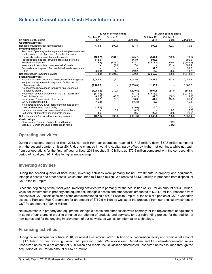# **Selected Consolidated Cash Flow Information**

|                                                                        | 12-week periods ended |            |                | 24-week periods ended |                          |                |
|------------------------------------------------------------------------|-----------------------|------------|----------------|-----------------------|--------------------------|----------------|
|                                                                        | October 15.           | October 9. |                | October 15.           | October 9.               |                |
| (In millions of US dollars)                                            | 2017                  | 2016       | Variation      | 2017                  | 2016                     | Variation      |
| <b>Operating activities</b>                                            |                       |            |                |                       |                          |                |
| Net cash provided by operating activities                              | 471.3                 | 509.1      | (37.8)         | 992.8                 | 922.3                    | 70.5           |
| <b>Investing activities</b>                                            |                       |            |                |                       |                          |                |
| Purchase of property and equipment, intangible assets and              |                       |            |                |                       |                          |                |
| other assets, net of proceeds from the disposal of                     |                       |            |                |                       |                          |                |
| property and equipment and other assets                                | (189.7)               | (164.0)    | (25.7)         | (344.1)               | (272.5)                  | (71.6)         |
| Proceeds from disposal of CST's assets held-for-sale                   | 143.0                 |            | 143.0          | 895.5                 |                          | 895.5          |
| <b>Business acquisitions</b>                                           | (4.3)                 | (828.0)    | 823.7          | (3,578.9)             | (829.4)                  | (2,749.5)      |
| Investment in associated company held-for-sale                         |                       | (7.4)      | 7.4            |                       | (301.4)                  | 301.4          |
| Proceeds from disposal of an available-for-sale investment             |                       |            |                | 91.6                  |                          | 91.6           |
| Other                                                                  | (21.1)                | (1.9)      | (19.2)         | (17.0)                | (5.3)                    | (11.7)         |
| Net cash used in investing activities                                  | (72.1)                | (1,001.3)  | 929.2          | (2,952.9)             | (1,408.6)                | (1, 544.3)     |
| <b>Financing activities</b>                                            |                       |            |                |                       |                          |                |
| Issuance of senior unsecured notes, net of financing costs             | 3,041.6               | (2.0)      | 3,043.6        | 3,041.6               | 851.8                    | 2,189.8        |
| Net (decrease) increase in acquisition facility, net of                |                       |            |                |                       |                          |                |
| financing costs                                                        | (1,780.8)             |            | (1,780.8)      | 1,168.7               |                          | 1,168.7        |
| Net (decrease) increase in term revolving unsecured                    |                       |            |                |                       |                          |                |
| operating credit D                                                     | (1,059.2)             | 770.4      | (1,829.6)      | (694.5)               | (51.0)                   | (643.5)        |
| Repayment of debts assumed on the CST acquisition                      | (577.1)               |            | (577.1)        | (1,075.9)             | $\overline{\phantom{a}}$ | (1,075.9)      |
| Cash dividends paid                                                    | (82.5)<br>51.7        | (68.3)     | (14.2)<br>58.6 | (82.5)<br>41.2        | (68.3)                   | (14.2)<br>56.1 |
| Net increase (decrease) in other debts<br>CAPL distributions paid      | (16.8)                | (6.9)      | (16.8)         | (16.8)                | (14.9)                   | (16.8)         |
| Net decrease in CAPL US-dollar-denominated senior                      |                       |            |                |                       |                          |                |
| secured revolving credit facility                                      | (15.0)                |            | (15.0)         | (15.0)                |                          | (15.0)         |
| Issuance of shares upon exercise of stock options                      |                       | 0.2        | (0.2)          |                       | 0.2                      | (0.2)          |
| Settlement of derivative financial instruments                         | 0.5                   |            | 0.5            | (20.7)                | (9.8)                    | (10.9)         |
| Net cash (used in) provided by financing activities                    | (437.6)               | 693.4      | (1, 131.0)     | 2.346.1               | 708.0                    | 1.638.1        |
|                                                                        |                       |            |                |                       |                          |                |
| <b>Credit ratings</b><br>Standard and Poor's - Corporate credit rating |                       |            |                |                       | <b>BBB</b>               |                |
| Moody's - Senior unsecured notes credit rating                         |                       |            |                |                       | Baa2                     |                |
|                                                                        |                       |            |                |                       |                          |                |

# **Operating activities**

During the second quarter of fiscal 2018, net cash from our operations reached \$471.3 million, down \$37.8 million compared with the second quarter of fiscal 2017, due to changes in working capital, partly offset by higher net earnings, while net cash from our operations for the first half-year of fiscal 2018 reached \$1.0 billion, up \$70.5 million compared with the corresponding period of fiscal year 2017, due to higher net earnings.

## **Investing activities**

During the second quarter of fiscal 2018, investing activities were primarily for net investments in property and equipment, intangible assets and other assets, which amounted to \$189.7 million. We received \$143.0 million in proceeds from disposal of CST sites to Empire.

Since the beginning of the fiscal year, investing activities were primarily for the acquisition of CST for an amount of \$3.5 billion, while net investments in property and equipment, intangible assets and other assets amounted to \$344.1 million. Proceeds from disposals of CST assets consisted of the above mentioned sale of CST sites to Empire, of the sale of a portion of CST's Canadian assets to Parkland Fuel Corporation for an amount of \$752.5 million as well as of the proceeds from our original investment in CST for an amount of \$91.6 million.

Net investments in property and equipment, intangible assets and other assets were primarily for the replacement of equipment in some of our stores in order to enhance our offering of products and services, for our rebranding project, for the addition of new stores and for the ongoing improvement of our network, as well as for information technology.

# **Financing activities**

During the second quarter of fiscal 2018, we repaid a net amount of \$1.8 billion on our acquisition facility and repaid a net amount of \$1.1 billion on our revolving unsecured operating credit. We also issued Canadian- and US-dollar-denominated senior unsecured notes for a net amount of \$3.0 billion and repaid the US-dollar-denominated unsecured notes assumed through the acquisition of CST for an amount of \$577.1 million.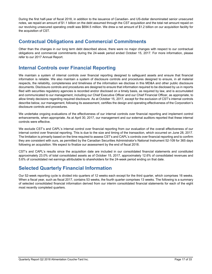During the first half-year of fiscal 2018, in addition to the issuance of Canadian- and US-dollar denominated senior unsecured notes, we repaid an amount of \$1.1 billion on the debt assumed through the CST acquisition and the total net amount repaid on our revolving unsecured operating credit was \$694.5 million. We drew a net amount of \$1.2 billion on our acquisition facility for the acquisition of CST.

# **Contractual Obligations and Commercial Commitments**

Other than the changes in our long term debt described above, there were no major changes with respect to our contractual obligations and commercial commitments during the 24-week period ended October 15, 2017. For more information, please refer to our 2017 Annual Report.

# **Internal Controls over Financial Reporting**

We maintain a system of internal controls over financial reporting designed to safeguard assets and ensure that financial information is reliable. We also maintain a system of disclosure controls and procedures designed to ensure, in all material respects, the reliability, completeness and timeliness of the information we disclose in this MD&A and other public disclosure documents. Disclosure controls and procedures are designed to ensure that information required to be disclosed by us in reports filed with securities regulatory agencies is recorded and/or disclosed on a timely basis, as required by law, and is accumulated and communicated to our management, including our Chief Executive Officer and our Chief Financial Officer, as appropriate, to allow timely decisions regarding required disclosure. As at October 15, 2017, except for the exclusion of CST's internal controls describe below, our management, following its assessment, certifies the design and operating effectiveness of the Corporation's disclosure controls and procedures.

We undertake ongoing evaluations of the effectiveness of our internal controls over financial reporting and implement control enhancements, when appropriate. As at April 30, 2017, our management and our external auditors reported that these internal controls were effective.

We exclude CST's and CAPL's internal control over financial reporting from our evaluation of the overall effectiveness of our internal control over financial reporting. This is due to the size and timing of the transaction, which occurred on June 28, 2017. The limitation is primarily based on the time required to assess CST's and CAPL's controls over financial reporting and to confirm they are consistent with ours, as permitted by the Canadian Securities Administrator's National Instrument 52-109 for 365 days following an acquisition. We expect to finalize our assessment by the end of fiscal 2018.

CST's and CAPL's results since the acquisition date are included in our consolidated financial statements and constituted approximately 23.0% of total consolidated assets as of October 15, 2017, approximately 12.6% of consolidated revenues and 5.6% of consolidated net earnings attributable to shareholders for the 24-week period ending on that date.

# **Selected Quarterly Financial Information**

Our 52-week reporting cycle is divided into quarters of 12 weeks each except for the third quarter, which comprises 16 weeks. When a fiscal year, such as fiscal 2017, contains 53 weeks, the fourth quarter comprises 13 weeks. The following is a summary of selected consolidated financial information derived from our interim consolidated financial statements for each of the eight most recently completed quarters.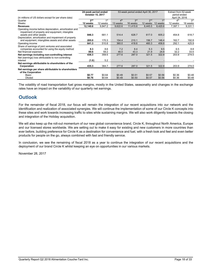|                                                                                                                    | 24-week period ended |              | 53-week period ended April 30, 2017 |                 |                 |          | Extract from 52-week |                 |
|--------------------------------------------------------------------------------------------------------------------|----------------------|--------------|-------------------------------------|-----------------|-----------------|----------|----------------------|-----------------|
|                                                                                                                    | October 15, 2017     |              |                                     |                 |                 |          | period ended         |                 |
| (in millions of US dollars except for per share data)                                                              |                      |              |                                     |                 |                 |          | April 24, 2016       |                 |
| Quarter                                                                                                            | 2 <sub>nd</sub>      | 1st          | 4 <sup>th</sup>                     | 3 <sup>rd</sup> | 2 <sub>nd</sub> | 1st      | 4 <sup>th</sup>      | 3 <sup>rd</sup> |
| Weeks                                                                                                              | 12 weeks             | 12 weeks     | 13 weeks                            | 16 weeks        | 12 weeks        | 12 weeks | 12 weeks             | 16 weeks        |
| <b>Revenues</b>                                                                                                    | 12,140.6             | 9,847.2      | 9,622.6                             | 11,415.8        | 8,445.5         | 8,420.6  | 7,397.1              | 9,331.1         |
| Operating income before depreciation, amortization and<br>impairment of property and equipment, intangible         |                      |              |                                     |                 |                 |          |                      |                 |
| assets and other assets                                                                                            | 846.3                | 681.1        | 514.4                               | 628.7           | 617.0           | 605.2    | 454.8                | 618.7           |
| Depreciation, amortization and impairment of property<br>and equipment, intangibles assets and other assets        | 205.0                | 170.3        | 154.4                               | 210.1           | 156.7           | 146.4    | 162.7                | 192.8           |
| Operating income                                                                                                   | 641.3                | 510.8        | 360.0                               | 418.6           | 460.3           | 458.8    | 292.1                | 425.9           |
| Share of earnings of joint ventures and associated<br>companies accounted for using the equity method              | 8.3                  | 8.6          | 7.2                                 | 8.4             | 5.3             | 9.5      | 6.5                  | 8.8             |
| Net financial expenses                                                                                             | 89.6                 | 59.2         | 46.0                                | 43.3            | 21.9            | 24.8     | 32.2                 | 33.5            |
| Net earnings including non-controlling interest<br>Net (earnings) loss attributable to non-controlling<br>interest | 436.3<br>(1.0)       | 359.5<br>5.2 | 277.6                               | 287.0           | 321.5           | 322.8    | 203.9                | 274.0           |
| Net earnings attributable to shareholders of the<br>Corporation                                                    | 435.3                | 364.7        | 277.6                               | 287.0           | 321.5           | 322.8    | 203.9                | 274.0           |
| Net earnings per share attributable to shareholders<br>of the Corporation                                          |                      |              |                                     |                 |                 |          |                      |                 |
| Basic                                                                                                              | \$0.77               | \$0.64       | \$0.49                              | \$0.51          | \$0.57          | \$0.56   | \$0.36               | \$0.48          |
| Diluted                                                                                                            | \$0.76               | \$0.64       | \$0.49                              | \$0.50          | \$0.57          | \$0.56   | \$0.36               | \$0.48          |

The volatility of road transportation fuel gross margins, mostly in the United States, seasonality and changes in the exchange rates have an impact on the variability of our quarterly net earnings.

# **Outlook**

For the remainder of fiscal 2018, our focus will remain the integration of our recent acquisitions into our network and the identification and realization of associated synergies. We will continue the implementation of some of our Circle K concepts into these sites and work towards increasing traffic to sites while sustaining margins. We will also work diligently towards the closing and integration of the Holiday acquisition.

We will also keep up the roll-out momentum of our new global convenience brand, Circle K, throughout North America, Europe and our licensed stores worldwide. We are setting out to make it easy for existing and new customers in more countries than ever before, building preference for Circle K as a destination for convenience and fuel, with a fresh look and feel and even better products for people on the go, always combined with fast and friendly service.

In conclusion, we see the remaining of fiscal 2018 as a year to continue the integration of our recent acquisitions and the deployment of our brand Circle K whilst keeping an eye on opportunities in our various markets.

November 28, 2017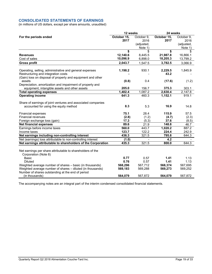## **CONSOLIDATED STATEMENTS OF EARNINGS**

(in millions of US dollars, except per share amounts, unaudited)

|                                                                                                                        | 12 weeks    |            | 24 weeks    |            |  |
|------------------------------------------------------------------------------------------------------------------------|-------------|------------|-------------|------------|--|
| For the periods ended                                                                                                  | October 15, | October 9, | October 15, | October 9, |  |
|                                                                                                                        | 2017        | 2016       | 2017        | 2016       |  |
|                                                                                                                        |             | (adjusted, |             | (adjusted, |  |
|                                                                                                                        |             | Note 1)    |             | Note 1)    |  |
|                                                                                                                        | \$          | \$         | \$          | \$         |  |
| <b>Revenues</b>                                                                                                        | 12,140.6    | 8,445.5    | 21,987.8    | 16,866.1   |  |
| Cost of sales                                                                                                          | 10,096.9    | 6,898.0    | 18,205.3    | 13,799.2   |  |
| <b>Gross profit</b>                                                                                                    | 2,043.7     | 1,547.5    | 3,782.5     | 3,066.9    |  |
| Operating, selling, administrative and general expenses                                                                | 1,198.2     | 930.1      | 2,229.5     | 1,845.9    |  |
| Restructuring and integration costs                                                                                    |             |            | 43.2        |            |  |
| (Gain) loss on disposal of property and equipment and other                                                            |             |            |             |            |  |
| assets                                                                                                                 | (0.8)       | 0.4        | (17.6)      | (1.2)      |  |
| Depreciation, amortization and impairment of property and                                                              |             |            |             |            |  |
| equipment, intangible assets and other assets                                                                          | 205.0       | 156.7      | 375.3       | 303.1      |  |
| <b>Total operating expenses</b>                                                                                        | 1,402.4     | 1,087.2    | 2,630.4     | 2,147.8    |  |
| <b>Operating income</b>                                                                                                | 641.3       | 460.3      | 1,152.1     | 919.1      |  |
| Share of earnings of joint ventures and associated companies                                                           |             |            |             |            |  |
| accounted for using the equity method                                                                                  | 8.3         | 5.3        | 16.9        | 14.8       |  |
| <b>Financial expenses</b>                                                                                              | 75.1        | 28.4       | 115.9       | 57.5       |  |
| <b>Financial revenues</b>                                                                                              | (2.8)       | (1.2)      | (4.7)       | (2.3)      |  |
| Foreign exchange loss (gain)                                                                                           | 17.3        | (5.3)      | 37.6        | (8.5)      |  |
| <b>Net financial expenses</b>                                                                                          | 89.6        | 21.9       | 148.8       | 46.7       |  |
| Earnings before income taxes                                                                                           | 560.0       | 443.7      | 1,020.2     | 887.2      |  |
| Income taxes                                                                                                           | 123.7       | 122.2      | 224.4       | 242.9      |  |
| Net earnings including non-controlling interest                                                                        | 436.3       | 321.5      | 795.8       | 644.3      |  |
| Net (earnings) loss attributable to non-controlling interest                                                           | (1.0)       |            | 4.2         |            |  |
| Net earnings attributable to shareholders of the Corporation                                                           | 435.3       | 321.5      | 800.0       | 644.3      |  |
|                                                                                                                        |             |            |             |            |  |
| Net earnings per share attributable to shareholders of the                                                             |             |            |             |            |  |
| Corporation (Note 8)<br><b>Basic</b>                                                                                   | 0.77        | 0.57       | 1.41        | 1.13       |  |
| <b>Diluted</b>                                                                                                         | 0.76        | 0.57       | 1.41        | 1.13       |  |
|                                                                                                                        | 568,296     |            | 568,374     | 567,695    |  |
| Weighted average number of shares - basic (in thousands)<br>Weighted average number of shares - diluted (in thousands) |             | 567,712    |             | 569,252    |  |
| Number of shares outstanding at the end of period                                                                      | 569,183     | 569,288    | 569,273     |            |  |
| (in thousands)                                                                                                         | 564,079     | 567,872    | 564,079     | 567,872    |  |

The accompanying notes are an integral part of the interim condensed consolidated financial statements.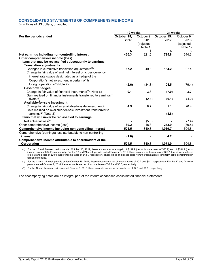## **CONSOLIDATED STATEMENTS OF COMPREHENSIVE INCOME**

(in millions of US dollars, unaudited)

|                                                                               | 12 weeks    |            | 24 weeks    |            |  |
|-------------------------------------------------------------------------------|-------------|------------|-------------|------------|--|
| For the periods ended                                                         | October 15, | October 9. | October 15, | October 9. |  |
|                                                                               | 2017        | 2016       | 2017        | 2016       |  |
|                                                                               |             | (adjusted, |             | (adjusted, |  |
|                                                                               |             | Note 1)    |             | Note 1)    |  |
|                                                                               | \$          | \$         | \$          | \$         |  |
| Net earnings including non-controlling interest                               | 436.3       | 321.5      | 795.8       | 644.3      |  |
| Other comprehensive income (loss)                                             |             |            |             |            |  |
| Items that may be reclassified subsequently to earnings                       |             |            |             |            |  |
| <b>Translation adjustments</b>                                                |             |            |             |            |  |
| Changes in cumulative translation adjustments <sup>(1)</sup>                  | 87.2        | 49.3       | 184.2       | 27.4       |  |
| Change in fair value of and net interest on cross-currency                    |             |            |             |            |  |
| interest rate swaps designated as a hedge of the                              |             |            |             |            |  |
| Corporation's net investment in certain of its                                |             |            |             |            |  |
| foreign operations <sup><math>(2)</math></sup> (Note 7)                       | (2.6)       | (34.3)     | 104.5       | (79.4)     |  |
| <b>Cash flow hedges</b>                                                       |             |            |             |            |  |
| Change in fair value of financial instruments <sup>(2)</sup> (Note 6)         | 0.1         | 3.3        | (7.0)       | 3.7        |  |
| Gain realized on financial instruments transferred to earnings <sup>(2)</sup> |             |            |             |            |  |
| (Note 6)                                                                      |             | (2.4)      | (0.1)       | (4.2)      |  |
| Available-for-sale investment                                                 |             |            |             |            |  |
| Change in fair value of an available-for-sale investment <sup>(2)</sup>       | 4.5         | 8.7        | 1.1         | 20.4       |  |
| Gain realized on available-for-sale investment transferred to                 |             |            |             |            |  |
| earnings <sup>(2)</sup> (Note 3)                                              |             |            | (8.8)       |            |  |
| Items that will never be reclassified to earnings                             |             |            |             |            |  |
| Net actuarial $loss^{(3)}$                                                    |             | (5.8)      |             | (7.4)      |  |
| Other comprehensive income (loss)                                             | 89.2        | 18.8       | 273.9       | (39.5)     |  |
| Comprehensive income including non-controlling interest                       | 525.5       | 340.3      | 1,069.7     | 604.8      |  |
| Comprehensive (earnings) loss attributable to non-controlling                 |             |            |             |            |  |
| interest                                                                      | (1.0)       |            | 4.2         |            |  |
| Comprehensive income attributable to shareholders of the                      |             |            |             |            |  |
| Corporation                                                                   | 524.5       | 340.3      | 1,073.9     | 604.8      |  |

(1) For the 12 and 24-week periods ended October 15, 2017, these amounts include a gain of \$132.2 (net of income taxes of \$20.9) and of \$204.9 (net of income taxes of \$32.4), respectively. For the 12 and 24-week periods ended October 9, 2016, these amounts include a loss of \$29.1 (net of income taxes of \$4.5) and a loss of \$29.0 (net of income taxes of \$4.5), respectively. These gains and losses arise from the translation of long-term debts denominated in foreign currencies.

(2) For the 12 and 24-week periods ended October 15, 2017, these amounts are net of income taxes of \$0.2 and \$0.1, respectively. For the 12 and 24-week periods ended October 9, 2016, these amounts are net of income taxes of \$0.9 and \$0.5, respectively.

(3) For the 12 and 24-week periods ended October 9, 2016, these amounts are net of income taxes of \$4.3 and \$6.3, respectively.

The accompanying notes are an integral part of the interim condensed consolidated financial statements.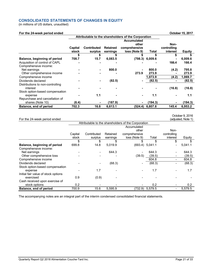## **CONSOLIDATED STATEMENTS OF CHANGES IN EQUITY**

(in millions of US dollars, unaudited)

#### **For the 24-week period ended Contract Contract Contract Contract Contract Contract Contract Contract Contract Contract Contract Contract Contract Contract Contract Contract Contract Contract Contract Contract Contract Con**

|                                  | Attributable to the shareholders of the Corporation |                    |                 |                    |         |             |               |
|----------------------------------|-----------------------------------------------------|--------------------|-----------------|--------------------|---------|-------------|---------------|
|                                  |                                                     |                    |                 | <b>Accumulated</b> |         |             |               |
|                                  |                                                     |                    |                 | other              |         | Non-        |               |
|                                  | Capital                                             | <b>Contributed</b> | <b>Retained</b> | comprehensive      |         | controlling |               |
|                                  | stock                                               | surplus            | earnings        | loss (Note 9)      | Total   | interest    | <b>Equity</b> |
|                                  |                                                     | \$                 |                 | \$                 | \$      |             |               |
| Balance, beginning of period     | 708.7                                               | 15.7               | 6,083.5         | (798.3)            | 6,009.6 |             | 6,009.6       |
| Acquisition of control of CAPL   |                                                     |                    |                 |                    |         | 166.4       | 166.4         |
| Comprehensive income:            |                                                     |                    |                 |                    |         |             |               |
| Net earnings                     |                                                     |                    | 800.0           |                    | 800.0   | (4.2)       | 795.8         |
| Other comprehensive income       |                                                     |                    |                 | 273.9              | 273.9   |             | 273.9         |
| Comprehensive income             |                                                     |                    |                 |                    | 1,073.9 | (4.2)       | 1,069.7       |
| Dividends declared               |                                                     |                    | (82.5)          |                    | (82.5)  |             | (82.5)        |
| Distributions to non-controlling |                                                     |                    |                 |                    |         |             |               |
| interest                         |                                                     |                    |                 |                    |         | (16.8)      | (16.8)        |
| Stock option-based compensation  |                                                     |                    |                 |                    |         |             |               |
| expense                          |                                                     | 1.1                |                 |                    | 1.1     |             | 1.1           |
| Repurchase and cancellation of   |                                                     |                    |                 |                    |         |             |               |
| shares (Note 10)                 | (6.4)                                               |                    | (187.9)         |                    | (194.3) |             | (194.3)       |
| Balance, end of period           | 702.3                                               | 16.8               | 6,613.1         | (524.4)            | 6,807.8 | 145.4       | 6,953.2       |

#### For the 24-week period ended October 9, 2016 (adjusted, Note 1) Attributable to the shareholders of the Corporation **Capital** stock Contributed surplus Retained earnings Accumulated other comprehensive loss (Note 9) Total Noncontrolling interest Equity \$ \$ \$ \$ \$ \$ \$ **Balance, beginning of period** 699.8 14.8 5,019.9 (693.4) 5,041.1 - 5,041.1 Comprehensive income:<br>Net earnings Net earnings - - 644.3 - 644.3 - 644.3 Other comprehensive loss - - - - - (39.5) (39.5) - (39.5) Comprehensive income 604.8 - 604.8 - 604.8 Dividends declared **-** - (68.3) - (68.3 ) - (68.3 ) Stock option-based compensation<br>expense expense - 1.7 - - 1.7 - 1.7 Initial fair value of stock options exercised 0.9 (0.9) - - - - - -Cash received upon exercise of stock options 0.2 - - - 0.2 - 0.2 **Balance, end of period**  $\begin{array}{cccc} 700.9 & 15.6 & 5,595.9 & (732.9) & 5,579.5 & -5,579.5 \end{array}$

The accompanying notes are an integral part of the interim condensed consolidated financial statements.

Quarterly Report Q2 2018 Alimentation Couche-Tard Inc. **Page 21 of 33** Page 21 of 33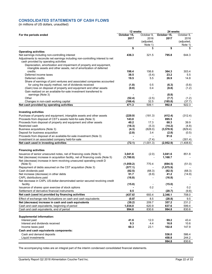## **CONSOLIDATED STATEMENTS OF CASH FLOWS**

(in millions of US dollars, unaudited)

| October 15,<br>October 9,<br>October 15,<br>October 9,<br>For the periods ended<br>2017<br>2016<br>2017<br>2016<br>(adjusted,<br>(adjusted,<br>Note 1)<br>Note 1)<br>\$<br>\$<br>\$<br>\$<br><b>Operating activities</b><br>436.3<br>321.5<br>795.8<br>Net earnings including non-controlling interest<br>644.3<br>Adjustments to reconcile net earnings including non-controlling interest to net<br>cash provided by operating activities<br>Depreciation, amortization and impairment of property and equipment,<br>intangible assets and other assets, net of amortization of deferred<br>198.4<br>156.6<br>364.3<br>303.4<br>credits<br>Deferred income taxes<br>38.5<br>23.2<br>5.5<br>(5.4)<br>Deferred credits<br>19.5<br>5.5<br>26.9<br>14.8<br>Share of earnings of joint ventures and associated companies accounted<br>for using the equity method, net of dividends received<br>0.5<br>(1.8)<br>(6.3)<br>(5.6)<br>(Gain) loss on disposal of property and equipment and other assets<br>(0.8)<br>0.4<br>(8.8)<br>(1.2)<br>Gain realized on an available-for-sale investment transferred to<br>earnings (Note 3)<br>(8.8)<br>(7.7)<br>Other<br>(52.4)<br>(2.5)<br>(1.2)<br>(166.4)<br>32.5<br>(185.8)<br>(37.7)<br>Changes in non-cash working capital<br>Net cash provided by operating activities<br>471.3<br>509.1<br>992.8<br>922.3<br><b>Investing activities</b><br>Purchase of property and equipment, intangible assets and other assets<br>(229.9)<br>(181.3)<br>(412.4)<br>(312.4)<br>Proceeds from disposal of CST's assets held-for-sale (Note 3)<br>143.0<br>895.5<br>Proceeds from disposal of property and equipment and other assets<br>40.2<br>17.3<br>68.3<br>39.9<br>Restricted cash<br>(18.3)<br>(5.3)<br>(14.2)<br>(4.8)<br>Business acquisitions (Note 3)<br>(4.3)<br>(828.0)<br>(3, 578.9)<br>(829.4)<br>Deposit for business acquisition<br>(2.8)<br>3.4<br>(0.5)<br>(2.8)<br>Proceeds from disposal of an available-for-sale investment (Note 3)<br>91.6<br>Investment in an associated company held-for-sale<br>(301.4)<br>(7.4)<br>(72.1)<br>(2,952.9)<br>Net cash used in investing activities<br>(1,001.3)<br>(1,408.6)<br><b>Financing activities</b><br>3,041.6<br>851.8<br>Issuance of senior unsecured notes, net of financing costs (Note 5)<br>(2.0)<br>3,041.6<br>Net (decrease) increase in acquisition facility, net of financing costs (Note 5)<br>(1,780.8)<br>1,168.7<br>Net (decrease) increase in term revolving unsecured operating credit D<br>770.4<br>(Note 5)<br>(1,059.2)<br>(694.5)<br>(51.0)<br>Repayment of debts assumed on the CST acquisition (Note 3)<br>(577.1)<br>(1,075.9)<br>Cash dividends paid<br>(68.3)<br>(82.5)<br>(68.3)<br>(82.5)<br>51.7<br>41.2<br>Net increase (decrease) in other debts<br>(6.9)<br>(14.9)<br>CAPL distributions paid<br>(16.8)<br>(16.8)<br>Net decrease in CAPL US-dollar-denominated senior secured revolving credit<br>facility<br>(15.0)<br>(15.0)<br>Issuance of shares upon exercise of stock options<br>0.2<br>0.2<br>Settlement of derivative financial instruments<br>0.5<br>(20.7)<br>(9.8)<br>Net cash (used in) provided by financing activities<br>(437.6)<br>693.4<br>2,346.1<br>708.0<br>(0.8)<br>8.5<br>9.5<br>Effect of exchange rate fluctuations on cash and cash equivalents<br>(28.8)<br>Net (decrease) increase in cash and cash equivalents<br>(39.2)<br>209.7<br>357.2<br>231.2<br>Cash and cash equivalents, beginning of period<br>1,034.0<br>620.9<br>637.6<br>599.4<br>Cash and cash equivalents, end of period<br>994.8<br>830.6<br>994.8<br>830.6<br><b>Supplemental information:</b><br>41.6<br>12.0<br>99.2<br>43.4<br>Interest paid<br>Interest and dividends received<br>9.3<br>4.4<br>16.8<br>10.6<br>60.3<br>23.1<br>102.8<br>147.9<br>Income taxes paid<br>Cash and cash equivalents components:<br>Cash and demand deposits<br>536.0<br>586.4<br>Liquid investments<br>458.8<br>244.2 | 12 weeks | 24 weeks |       |  |
|---------------------------------------------------------------------------------------------------------------------------------------------------------------------------------------------------------------------------------------------------------------------------------------------------------------------------------------------------------------------------------------------------------------------------------------------------------------------------------------------------------------------------------------------------------------------------------------------------------------------------------------------------------------------------------------------------------------------------------------------------------------------------------------------------------------------------------------------------------------------------------------------------------------------------------------------------------------------------------------------------------------------------------------------------------------------------------------------------------------------------------------------------------------------------------------------------------------------------------------------------------------------------------------------------------------------------------------------------------------------------------------------------------------------------------------------------------------------------------------------------------------------------------------------------------------------------------------------------------------------------------------------------------------------------------------------------------------------------------------------------------------------------------------------------------------------------------------------------------------------------------------------------------------------------------------------------------------------------------------------------------------------------------------------------------------------------------------------------------------------------------------------------------------------------------------------------------------------------------------------------------------------------------------------------------------------------------------------------------------------------------------------------------------------------------------------------------------------------------------------------------------------------------------------------------------------------------------------------------------------------------------------------------------------------------------------------------------------------------------------------------------------------------------------------------------------------------------------------------------------------------------------------------------------------------------------------------------------------------------------------------------------------------------------------------------------------------------------------------------------------------------------------------------------------------------------------------------------------------------------------------------------------------------------------------------------------------------------------------------------------------------------------------------------------------------------------------------------------------------------------------------------------------------------------------------------------------------------------------------------------------------------------------------------------------------------------------------------------------------------------------------------------------------------------------------------------------------------------------------------------------------------------------------------------------|----------|----------|-------|--|
|                                                                                                                                                                                                                                                                                                                                                                                                                                                                                                                                                                                                                                                                                                                                                                                                                                                                                                                                                                                                                                                                                                                                                                                                                                                                                                                                                                                                                                                                                                                                                                                                                                                                                                                                                                                                                                                                                                                                                                                                                                                                                                                                                                                                                                                                                                                                                                                                                                                                                                                                                                                                                                                                                                                                                                                                                                                                                                                                                                                                                                                                                                                                                                                                                                                                                                                                                                                                                                                                                                                                                                                                                                                                                                                                                                                                                                                                                                                                 |          |          |       |  |
|                                                                                                                                                                                                                                                                                                                                                                                                                                                                                                                                                                                                                                                                                                                                                                                                                                                                                                                                                                                                                                                                                                                                                                                                                                                                                                                                                                                                                                                                                                                                                                                                                                                                                                                                                                                                                                                                                                                                                                                                                                                                                                                                                                                                                                                                                                                                                                                                                                                                                                                                                                                                                                                                                                                                                                                                                                                                                                                                                                                                                                                                                                                                                                                                                                                                                                                                                                                                                                                                                                                                                                                                                                                                                                                                                                                                                                                                                                                                 |          |          |       |  |
|                                                                                                                                                                                                                                                                                                                                                                                                                                                                                                                                                                                                                                                                                                                                                                                                                                                                                                                                                                                                                                                                                                                                                                                                                                                                                                                                                                                                                                                                                                                                                                                                                                                                                                                                                                                                                                                                                                                                                                                                                                                                                                                                                                                                                                                                                                                                                                                                                                                                                                                                                                                                                                                                                                                                                                                                                                                                                                                                                                                                                                                                                                                                                                                                                                                                                                                                                                                                                                                                                                                                                                                                                                                                                                                                                                                                                                                                                                                                 |          |          |       |  |
|                                                                                                                                                                                                                                                                                                                                                                                                                                                                                                                                                                                                                                                                                                                                                                                                                                                                                                                                                                                                                                                                                                                                                                                                                                                                                                                                                                                                                                                                                                                                                                                                                                                                                                                                                                                                                                                                                                                                                                                                                                                                                                                                                                                                                                                                                                                                                                                                                                                                                                                                                                                                                                                                                                                                                                                                                                                                                                                                                                                                                                                                                                                                                                                                                                                                                                                                                                                                                                                                                                                                                                                                                                                                                                                                                                                                                                                                                                                                 |          |          |       |  |
|                                                                                                                                                                                                                                                                                                                                                                                                                                                                                                                                                                                                                                                                                                                                                                                                                                                                                                                                                                                                                                                                                                                                                                                                                                                                                                                                                                                                                                                                                                                                                                                                                                                                                                                                                                                                                                                                                                                                                                                                                                                                                                                                                                                                                                                                                                                                                                                                                                                                                                                                                                                                                                                                                                                                                                                                                                                                                                                                                                                                                                                                                                                                                                                                                                                                                                                                                                                                                                                                                                                                                                                                                                                                                                                                                                                                                                                                                                                                 |          |          |       |  |
|                                                                                                                                                                                                                                                                                                                                                                                                                                                                                                                                                                                                                                                                                                                                                                                                                                                                                                                                                                                                                                                                                                                                                                                                                                                                                                                                                                                                                                                                                                                                                                                                                                                                                                                                                                                                                                                                                                                                                                                                                                                                                                                                                                                                                                                                                                                                                                                                                                                                                                                                                                                                                                                                                                                                                                                                                                                                                                                                                                                                                                                                                                                                                                                                                                                                                                                                                                                                                                                                                                                                                                                                                                                                                                                                                                                                                                                                                                                                 |          |          |       |  |
|                                                                                                                                                                                                                                                                                                                                                                                                                                                                                                                                                                                                                                                                                                                                                                                                                                                                                                                                                                                                                                                                                                                                                                                                                                                                                                                                                                                                                                                                                                                                                                                                                                                                                                                                                                                                                                                                                                                                                                                                                                                                                                                                                                                                                                                                                                                                                                                                                                                                                                                                                                                                                                                                                                                                                                                                                                                                                                                                                                                                                                                                                                                                                                                                                                                                                                                                                                                                                                                                                                                                                                                                                                                                                                                                                                                                                                                                                                                                 |          |          |       |  |
|                                                                                                                                                                                                                                                                                                                                                                                                                                                                                                                                                                                                                                                                                                                                                                                                                                                                                                                                                                                                                                                                                                                                                                                                                                                                                                                                                                                                                                                                                                                                                                                                                                                                                                                                                                                                                                                                                                                                                                                                                                                                                                                                                                                                                                                                                                                                                                                                                                                                                                                                                                                                                                                                                                                                                                                                                                                                                                                                                                                                                                                                                                                                                                                                                                                                                                                                                                                                                                                                                                                                                                                                                                                                                                                                                                                                                                                                                                                                 |          |          |       |  |
|                                                                                                                                                                                                                                                                                                                                                                                                                                                                                                                                                                                                                                                                                                                                                                                                                                                                                                                                                                                                                                                                                                                                                                                                                                                                                                                                                                                                                                                                                                                                                                                                                                                                                                                                                                                                                                                                                                                                                                                                                                                                                                                                                                                                                                                                                                                                                                                                                                                                                                                                                                                                                                                                                                                                                                                                                                                                                                                                                                                                                                                                                                                                                                                                                                                                                                                                                                                                                                                                                                                                                                                                                                                                                                                                                                                                                                                                                                                                 |          |          |       |  |
|                                                                                                                                                                                                                                                                                                                                                                                                                                                                                                                                                                                                                                                                                                                                                                                                                                                                                                                                                                                                                                                                                                                                                                                                                                                                                                                                                                                                                                                                                                                                                                                                                                                                                                                                                                                                                                                                                                                                                                                                                                                                                                                                                                                                                                                                                                                                                                                                                                                                                                                                                                                                                                                                                                                                                                                                                                                                                                                                                                                                                                                                                                                                                                                                                                                                                                                                                                                                                                                                                                                                                                                                                                                                                                                                                                                                                                                                                                                                 |          |          |       |  |
|                                                                                                                                                                                                                                                                                                                                                                                                                                                                                                                                                                                                                                                                                                                                                                                                                                                                                                                                                                                                                                                                                                                                                                                                                                                                                                                                                                                                                                                                                                                                                                                                                                                                                                                                                                                                                                                                                                                                                                                                                                                                                                                                                                                                                                                                                                                                                                                                                                                                                                                                                                                                                                                                                                                                                                                                                                                                                                                                                                                                                                                                                                                                                                                                                                                                                                                                                                                                                                                                                                                                                                                                                                                                                                                                                                                                                                                                                                                                 |          |          |       |  |
|                                                                                                                                                                                                                                                                                                                                                                                                                                                                                                                                                                                                                                                                                                                                                                                                                                                                                                                                                                                                                                                                                                                                                                                                                                                                                                                                                                                                                                                                                                                                                                                                                                                                                                                                                                                                                                                                                                                                                                                                                                                                                                                                                                                                                                                                                                                                                                                                                                                                                                                                                                                                                                                                                                                                                                                                                                                                                                                                                                                                                                                                                                                                                                                                                                                                                                                                                                                                                                                                                                                                                                                                                                                                                                                                                                                                                                                                                                                                 |          |          |       |  |
|                                                                                                                                                                                                                                                                                                                                                                                                                                                                                                                                                                                                                                                                                                                                                                                                                                                                                                                                                                                                                                                                                                                                                                                                                                                                                                                                                                                                                                                                                                                                                                                                                                                                                                                                                                                                                                                                                                                                                                                                                                                                                                                                                                                                                                                                                                                                                                                                                                                                                                                                                                                                                                                                                                                                                                                                                                                                                                                                                                                                                                                                                                                                                                                                                                                                                                                                                                                                                                                                                                                                                                                                                                                                                                                                                                                                                                                                                                                                 |          |          |       |  |
|                                                                                                                                                                                                                                                                                                                                                                                                                                                                                                                                                                                                                                                                                                                                                                                                                                                                                                                                                                                                                                                                                                                                                                                                                                                                                                                                                                                                                                                                                                                                                                                                                                                                                                                                                                                                                                                                                                                                                                                                                                                                                                                                                                                                                                                                                                                                                                                                                                                                                                                                                                                                                                                                                                                                                                                                                                                                                                                                                                                                                                                                                                                                                                                                                                                                                                                                                                                                                                                                                                                                                                                                                                                                                                                                                                                                                                                                                                                                 |          |          |       |  |
|                                                                                                                                                                                                                                                                                                                                                                                                                                                                                                                                                                                                                                                                                                                                                                                                                                                                                                                                                                                                                                                                                                                                                                                                                                                                                                                                                                                                                                                                                                                                                                                                                                                                                                                                                                                                                                                                                                                                                                                                                                                                                                                                                                                                                                                                                                                                                                                                                                                                                                                                                                                                                                                                                                                                                                                                                                                                                                                                                                                                                                                                                                                                                                                                                                                                                                                                                                                                                                                                                                                                                                                                                                                                                                                                                                                                                                                                                                                                 |          |          |       |  |
|                                                                                                                                                                                                                                                                                                                                                                                                                                                                                                                                                                                                                                                                                                                                                                                                                                                                                                                                                                                                                                                                                                                                                                                                                                                                                                                                                                                                                                                                                                                                                                                                                                                                                                                                                                                                                                                                                                                                                                                                                                                                                                                                                                                                                                                                                                                                                                                                                                                                                                                                                                                                                                                                                                                                                                                                                                                                                                                                                                                                                                                                                                                                                                                                                                                                                                                                                                                                                                                                                                                                                                                                                                                                                                                                                                                                                                                                                                                                 |          |          |       |  |
|                                                                                                                                                                                                                                                                                                                                                                                                                                                                                                                                                                                                                                                                                                                                                                                                                                                                                                                                                                                                                                                                                                                                                                                                                                                                                                                                                                                                                                                                                                                                                                                                                                                                                                                                                                                                                                                                                                                                                                                                                                                                                                                                                                                                                                                                                                                                                                                                                                                                                                                                                                                                                                                                                                                                                                                                                                                                                                                                                                                                                                                                                                                                                                                                                                                                                                                                                                                                                                                                                                                                                                                                                                                                                                                                                                                                                                                                                                                                 |          |          |       |  |
|                                                                                                                                                                                                                                                                                                                                                                                                                                                                                                                                                                                                                                                                                                                                                                                                                                                                                                                                                                                                                                                                                                                                                                                                                                                                                                                                                                                                                                                                                                                                                                                                                                                                                                                                                                                                                                                                                                                                                                                                                                                                                                                                                                                                                                                                                                                                                                                                                                                                                                                                                                                                                                                                                                                                                                                                                                                                                                                                                                                                                                                                                                                                                                                                                                                                                                                                                                                                                                                                                                                                                                                                                                                                                                                                                                                                                                                                                                                                 |          |          |       |  |
|                                                                                                                                                                                                                                                                                                                                                                                                                                                                                                                                                                                                                                                                                                                                                                                                                                                                                                                                                                                                                                                                                                                                                                                                                                                                                                                                                                                                                                                                                                                                                                                                                                                                                                                                                                                                                                                                                                                                                                                                                                                                                                                                                                                                                                                                                                                                                                                                                                                                                                                                                                                                                                                                                                                                                                                                                                                                                                                                                                                                                                                                                                                                                                                                                                                                                                                                                                                                                                                                                                                                                                                                                                                                                                                                                                                                                                                                                                                                 |          |          |       |  |
|                                                                                                                                                                                                                                                                                                                                                                                                                                                                                                                                                                                                                                                                                                                                                                                                                                                                                                                                                                                                                                                                                                                                                                                                                                                                                                                                                                                                                                                                                                                                                                                                                                                                                                                                                                                                                                                                                                                                                                                                                                                                                                                                                                                                                                                                                                                                                                                                                                                                                                                                                                                                                                                                                                                                                                                                                                                                                                                                                                                                                                                                                                                                                                                                                                                                                                                                                                                                                                                                                                                                                                                                                                                                                                                                                                                                                                                                                                                                 |          |          |       |  |
|                                                                                                                                                                                                                                                                                                                                                                                                                                                                                                                                                                                                                                                                                                                                                                                                                                                                                                                                                                                                                                                                                                                                                                                                                                                                                                                                                                                                                                                                                                                                                                                                                                                                                                                                                                                                                                                                                                                                                                                                                                                                                                                                                                                                                                                                                                                                                                                                                                                                                                                                                                                                                                                                                                                                                                                                                                                                                                                                                                                                                                                                                                                                                                                                                                                                                                                                                                                                                                                                                                                                                                                                                                                                                                                                                                                                                                                                                                                                 |          |          |       |  |
|                                                                                                                                                                                                                                                                                                                                                                                                                                                                                                                                                                                                                                                                                                                                                                                                                                                                                                                                                                                                                                                                                                                                                                                                                                                                                                                                                                                                                                                                                                                                                                                                                                                                                                                                                                                                                                                                                                                                                                                                                                                                                                                                                                                                                                                                                                                                                                                                                                                                                                                                                                                                                                                                                                                                                                                                                                                                                                                                                                                                                                                                                                                                                                                                                                                                                                                                                                                                                                                                                                                                                                                                                                                                                                                                                                                                                                                                                                                                 |          |          |       |  |
|                                                                                                                                                                                                                                                                                                                                                                                                                                                                                                                                                                                                                                                                                                                                                                                                                                                                                                                                                                                                                                                                                                                                                                                                                                                                                                                                                                                                                                                                                                                                                                                                                                                                                                                                                                                                                                                                                                                                                                                                                                                                                                                                                                                                                                                                                                                                                                                                                                                                                                                                                                                                                                                                                                                                                                                                                                                                                                                                                                                                                                                                                                                                                                                                                                                                                                                                                                                                                                                                                                                                                                                                                                                                                                                                                                                                                                                                                                                                 |          |          |       |  |
|                                                                                                                                                                                                                                                                                                                                                                                                                                                                                                                                                                                                                                                                                                                                                                                                                                                                                                                                                                                                                                                                                                                                                                                                                                                                                                                                                                                                                                                                                                                                                                                                                                                                                                                                                                                                                                                                                                                                                                                                                                                                                                                                                                                                                                                                                                                                                                                                                                                                                                                                                                                                                                                                                                                                                                                                                                                                                                                                                                                                                                                                                                                                                                                                                                                                                                                                                                                                                                                                                                                                                                                                                                                                                                                                                                                                                                                                                                                                 |          |          |       |  |
|                                                                                                                                                                                                                                                                                                                                                                                                                                                                                                                                                                                                                                                                                                                                                                                                                                                                                                                                                                                                                                                                                                                                                                                                                                                                                                                                                                                                                                                                                                                                                                                                                                                                                                                                                                                                                                                                                                                                                                                                                                                                                                                                                                                                                                                                                                                                                                                                                                                                                                                                                                                                                                                                                                                                                                                                                                                                                                                                                                                                                                                                                                                                                                                                                                                                                                                                                                                                                                                                                                                                                                                                                                                                                                                                                                                                                                                                                                                                 |          |          |       |  |
|                                                                                                                                                                                                                                                                                                                                                                                                                                                                                                                                                                                                                                                                                                                                                                                                                                                                                                                                                                                                                                                                                                                                                                                                                                                                                                                                                                                                                                                                                                                                                                                                                                                                                                                                                                                                                                                                                                                                                                                                                                                                                                                                                                                                                                                                                                                                                                                                                                                                                                                                                                                                                                                                                                                                                                                                                                                                                                                                                                                                                                                                                                                                                                                                                                                                                                                                                                                                                                                                                                                                                                                                                                                                                                                                                                                                                                                                                                                                 |          |          |       |  |
|                                                                                                                                                                                                                                                                                                                                                                                                                                                                                                                                                                                                                                                                                                                                                                                                                                                                                                                                                                                                                                                                                                                                                                                                                                                                                                                                                                                                                                                                                                                                                                                                                                                                                                                                                                                                                                                                                                                                                                                                                                                                                                                                                                                                                                                                                                                                                                                                                                                                                                                                                                                                                                                                                                                                                                                                                                                                                                                                                                                                                                                                                                                                                                                                                                                                                                                                                                                                                                                                                                                                                                                                                                                                                                                                                                                                                                                                                                                                 |          |          |       |  |
|                                                                                                                                                                                                                                                                                                                                                                                                                                                                                                                                                                                                                                                                                                                                                                                                                                                                                                                                                                                                                                                                                                                                                                                                                                                                                                                                                                                                                                                                                                                                                                                                                                                                                                                                                                                                                                                                                                                                                                                                                                                                                                                                                                                                                                                                                                                                                                                                                                                                                                                                                                                                                                                                                                                                                                                                                                                                                                                                                                                                                                                                                                                                                                                                                                                                                                                                                                                                                                                                                                                                                                                                                                                                                                                                                                                                                                                                                                                                 |          |          |       |  |
|                                                                                                                                                                                                                                                                                                                                                                                                                                                                                                                                                                                                                                                                                                                                                                                                                                                                                                                                                                                                                                                                                                                                                                                                                                                                                                                                                                                                                                                                                                                                                                                                                                                                                                                                                                                                                                                                                                                                                                                                                                                                                                                                                                                                                                                                                                                                                                                                                                                                                                                                                                                                                                                                                                                                                                                                                                                                                                                                                                                                                                                                                                                                                                                                                                                                                                                                                                                                                                                                                                                                                                                                                                                                                                                                                                                                                                                                                                                                 |          |          |       |  |
|                                                                                                                                                                                                                                                                                                                                                                                                                                                                                                                                                                                                                                                                                                                                                                                                                                                                                                                                                                                                                                                                                                                                                                                                                                                                                                                                                                                                                                                                                                                                                                                                                                                                                                                                                                                                                                                                                                                                                                                                                                                                                                                                                                                                                                                                                                                                                                                                                                                                                                                                                                                                                                                                                                                                                                                                                                                                                                                                                                                                                                                                                                                                                                                                                                                                                                                                                                                                                                                                                                                                                                                                                                                                                                                                                                                                                                                                                                                                 |          |          |       |  |
|                                                                                                                                                                                                                                                                                                                                                                                                                                                                                                                                                                                                                                                                                                                                                                                                                                                                                                                                                                                                                                                                                                                                                                                                                                                                                                                                                                                                                                                                                                                                                                                                                                                                                                                                                                                                                                                                                                                                                                                                                                                                                                                                                                                                                                                                                                                                                                                                                                                                                                                                                                                                                                                                                                                                                                                                                                                                                                                                                                                                                                                                                                                                                                                                                                                                                                                                                                                                                                                                                                                                                                                                                                                                                                                                                                                                                                                                                                                                 |          |          |       |  |
|                                                                                                                                                                                                                                                                                                                                                                                                                                                                                                                                                                                                                                                                                                                                                                                                                                                                                                                                                                                                                                                                                                                                                                                                                                                                                                                                                                                                                                                                                                                                                                                                                                                                                                                                                                                                                                                                                                                                                                                                                                                                                                                                                                                                                                                                                                                                                                                                                                                                                                                                                                                                                                                                                                                                                                                                                                                                                                                                                                                                                                                                                                                                                                                                                                                                                                                                                                                                                                                                                                                                                                                                                                                                                                                                                                                                                                                                                                                                 |          |          |       |  |
|                                                                                                                                                                                                                                                                                                                                                                                                                                                                                                                                                                                                                                                                                                                                                                                                                                                                                                                                                                                                                                                                                                                                                                                                                                                                                                                                                                                                                                                                                                                                                                                                                                                                                                                                                                                                                                                                                                                                                                                                                                                                                                                                                                                                                                                                                                                                                                                                                                                                                                                                                                                                                                                                                                                                                                                                                                                                                                                                                                                                                                                                                                                                                                                                                                                                                                                                                                                                                                                                                                                                                                                                                                                                                                                                                                                                                                                                                                                                 |          |          |       |  |
|                                                                                                                                                                                                                                                                                                                                                                                                                                                                                                                                                                                                                                                                                                                                                                                                                                                                                                                                                                                                                                                                                                                                                                                                                                                                                                                                                                                                                                                                                                                                                                                                                                                                                                                                                                                                                                                                                                                                                                                                                                                                                                                                                                                                                                                                                                                                                                                                                                                                                                                                                                                                                                                                                                                                                                                                                                                                                                                                                                                                                                                                                                                                                                                                                                                                                                                                                                                                                                                                                                                                                                                                                                                                                                                                                                                                                                                                                                                                 |          |          |       |  |
|                                                                                                                                                                                                                                                                                                                                                                                                                                                                                                                                                                                                                                                                                                                                                                                                                                                                                                                                                                                                                                                                                                                                                                                                                                                                                                                                                                                                                                                                                                                                                                                                                                                                                                                                                                                                                                                                                                                                                                                                                                                                                                                                                                                                                                                                                                                                                                                                                                                                                                                                                                                                                                                                                                                                                                                                                                                                                                                                                                                                                                                                                                                                                                                                                                                                                                                                                                                                                                                                                                                                                                                                                                                                                                                                                                                                                                                                                                                                 |          |          |       |  |
|                                                                                                                                                                                                                                                                                                                                                                                                                                                                                                                                                                                                                                                                                                                                                                                                                                                                                                                                                                                                                                                                                                                                                                                                                                                                                                                                                                                                                                                                                                                                                                                                                                                                                                                                                                                                                                                                                                                                                                                                                                                                                                                                                                                                                                                                                                                                                                                                                                                                                                                                                                                                                                                                                                                                                                                                                                                                                                                                                                                                                                                                                                                                                                                                                                                                                                                                                                                                                                                                                                                                                                                                                                                                                                                                                                                                                                                                                                                                 |          |          |       |  |
|                                                                                                                                                                                                                                                                                                                                                                                                                                                                                                                                                                                                                                                                                                                                                                                                                                                                                                                                                                                                                                                                                                                                                                                                                                                                                                                                                                                                                                                                                                                                                                                                                                                                                                                                                                                                                                                                                                                                                                                                                                                                                                                                                                                                                                                                                                                                                                                                                                                                                                                                                                                                                                                                                                                                                                                                                                                                                                                                                                                                                                                                                                                                                                                                                                                                                                                                                                                                                                                                                                                                                                                                                                                                                                                                                                                                                                                                                                                                 |          |          |       |  |
|                                                                                                                                                                                                                                                                                                                                                                                                                                                                                                                                                                                                                                                                                                                                                                                                                                                                                                                                                                                                                                                                                                                                                                                                                                                                                                                                                                                                                                                                                                                                                                                                                                                                                                                                                                                                                                                                                                                                                                                                                                                                                                                                                                                                                                                                                                                                                                                                                                                                                                                                                                                                                                                                                                                                                                                                                                                                                                                                                                                                                                                                                                                                                                                                                                                                                                                                                                                                                                                                                                                                                                                                                                                                                                                                                                                                                                                                                                                                 |          |          |       |  |
|                                                                                                                                                                                                                                                                                                                                                                                                                                                                                                                                                                                                                                                                                                                                                                                                                                                                                                                                                                                                                                                                                                                                                                                                                                                                                                                                                                                                                                                                                                                                                                                                                                                                                                                                                                                                                                                                                                                                                                                                                                                                                                                                                                                                                                                                                                                                                                                                                                                                                                                                                                                                                                                                                                                                                                                                                                                                                                                                                                                                                                                                                                                                                                                                                                                                                                                                                                                                                                                                                                                                                                                                                                                                                                                                                                                                                                                                                                                                 |          |          |       |  |
|                                                                                                                                                                                                                                                                                                                                                                                                                                                                                                                                                                                                                                                                                                                                                                                                                                                                                                                                                                                                                                                                                                                                                                                                                                                                                                                                                                                                                                                                                                                                                                                                                                                                                                                                                                                                                                                                                                                                                                                                                                                                                                                                                                                                                                                                                                                                                                                                                                                                                                                                                                                                                                                                                                                                                                                                                                                                                                                                                                                                                                                                                                                                                                                                                                                                                                                                                                                                                                                                                                                                                                                                                                                                                                                                                                                                                                                                                                                                 |          |          |       |  |
|                                                                                                                                                                                                                                                                                                                                                                                                                                                                                                                                                                                                                                                                                                                                                                                                                                                                                                                                                                                                                                                                                                                                                                                                                                                                                                                                                                                                                                                                                                                                                                                                                                                                                                                                                                                                                                                                                                                                                                                                                                                                                                                                                                                                                                                                                                                                                                                                                                                                                                                                                                                                                                                                                                                                                                                                                                                                                                                                                                                                                                                                                                                                                                                                                                                                                                                                                                                                                                                                                                                                                                                                                                                                                                                                                                                                                                                                                                                                 |          |          |       |  |
|                                                                                                                                                                                                                                                                                                                                                                                                                                                                                                                                                                                                                                                                                                                                                                                                                                                                                                                                                                                                                                                                                                                                                                                                                                                                                                                                                                                                                                                                                                                                                                                                                                                                                                                                                                                                                                                                                                                                                                                                                                                                                                                                                                                                                                                                                                                                                                                                                                                                                                                                                                                                                                                                                                                                                                                                                                                                                                                                                                                                                                                                                                                                                                                                                                                                                                                                                                                                                                                                                                                                                                                                                                                                                                                                                                                                                                                                                                                                 |          |          |       |  |
|                                                                                                                                                                                                                                                                                                                                                                                                                                                                                                                                                                                                                                                                                                                                                                                                                                                                                                                                                                                                                                                                                                                                                                                                                                                                                                                                                                                                                                                                                                                                                                                                                                                                                                                                                                                                                                                                                                                                                                                                                                                                                                                                                                                                                                                                                                                                                                                                                                                                                                                                                                                                                                                                                                                                                                                                                                                                                                                                                                                                                                                                                                                                                                                                                                                                                                                                                                                                                                                                                                                                                                                                                                                                                                                                                                                                                                                                                                                                 |          |          |       |  |
|                                                                                                                                                                                                                                                                                                                                                                                                                                                                                                                                                                                                                                                                                                                                                                                                                                                                                                                                                                                                                                                                                                                                                                                                                                                                                                                                                                                                                                                                                                                                                                                                                                                                                                                                                                                                                                                                                                                                                                                                                                                                                                                                                                                                                                                                                                                                                                                                                                                                                                                                                                                                                                                                                                                                                                                                                                                                                                                                                                                                                                                                                                                                                                                                                                                                                                                                                                                                                                                                                                                                                                                                                                                                                                                                                                                                                                                                                                                                 |          |          |       |  |
|                                                                                                                                                                                                                                                                                                                                                                                                                                                                                                                                                                                                                                                                                                                                                                                                                                                                                                                                                                                                                                                                                                                                                                                                                                                                                                                                                                                                                                                                                                                                                                                                                                                                                                                                                                                                                                                                                                                                                                                                                                                                                                                                                                                                                                                                                                                                                                                                                                                                                                                                                                                                                                                                                                                                                                                                                                                                                                                                                                                                                                                                                                                                                                                                                                                                                                                                                                                                                                                                                                                                                                                                                                                                                                                                                                                                                                                                                                                                 |          |          |       |  |
|                                                                                                                                                                                                                                                                                                                                                                                                                                                                                                                                                                                                                                                                                                                                                                                                                                                                                                                                                                                                                                                                                                                                                                                                                                                                                                                                                                                                                                                                                                                                                                                                                                                                                                                                                                                                                                                                                                                                                                                                                                                                                                                                                                                                                                                                                                                                                                                                                                                                                                                                                                                                                                                                                                                                                                                                                                                                                                                                                                                                                                                                                                                                                                                                                                                                                                                                                                                                                                                                                                                                                                                                                                                                                                                                                                                                                                                                                                                                 |          |          |       |  |
|                                                                                                                                                                                                                                                                                                                                                                                                                                                                                                                                                                                                                                                                                                                                                                                                                                                                                                                                                                                                                                                                                                                                                                                                                                                                                                                                                                                                                                                                                                                                                                                                                                                                                                                                                                                                                                                                                                                                                                                                                                                                                                                                                                                                                                                                                                                                                                                                                                                                                                                                                                                                                                                                                                                                                                                                                                                                                                                                                                                                                                                                                                                                                                                                                                                                                                                                                                                                                                                                                                                                                                                                                                                                                                                                                                                                                                                                                                                                 |          |          |       |  |
|                                                                                                                                                                                                                                                                                                                                                                                                                                                                                                                                                                                                                                                                                                                                                                                                                                                                                                                                                                                                                                                                                                                                                                                                                                                                                                                                                                                                                                                                                                                                                                                                                                                                                                                                                                                                                                                                                                                                                                                                                                                                                                                                                                                                                                                                                                                                                                                                                                                                                                                                                                                                                                                                                                                                                                                                                                                                                                                                                                                                                                                                                                                                                                                                                                                                                                                                                                                                                                                                                                                                                                                                                                                                                                                                                                                                                                                                                                                                 |          |          |       |  |
|                                                                                                                                                                                                                                                                                                                                                                                                                                                                                                                                                                                                                                                                                                                                                                                                                                                                                                                                                                                                                                                                                                                                                                                                                                                                                                                                                                                                                                                                                                                                                                                                                                                                                                                                                                                                                                                                                                                                                                                                                                                                                                                                                                                                                                                                                                                                                                                                                                                                                                                                                                                                                                                                                                                                                                                                                                                                                                                                                                                                                                                                                                                                                                                                                                                                                                                                                                                                                                                                                                                                                                                                                                                                                                                                                                                                                                                                                                                                 |          |          |       |  |
|                                                                                                                                                                                                                                                                                                                                                                                                                                                                                                                                                                                                                                                                                                                                                                                                                                                                                                                                                                                                                                                                                                                                                                                                                                                                                                                                                                                                                                                                                                                                                                                                                                                                                                                                                                                                                                                                                                                                                                                                                                                                                                                                                                                                                                                                                                                                                                                                                                                                                                                                                                                                                                                                                                                                                                                                                                                                                                                                                                                                                                                                                                                                                                                                                                                                                                                                                                                                                                                                                                                                                                                                                                                                                                                                                                                                                                                                                                                                 |          |          |       |  |
|                                                                                                                                                                                                                                                                                                                                                                                                                                                                                                                                                                                                                                                                                                                                                                                                                                                                                                                                                                                                                                                                                                                                                                                                                                                                                                                                                                                                                                                                                                                                                                                                                                                                                                                                                                                                                                                                                                                                                                                                                                                                                                                                                                                                                                                                                                                                                                                                                                                                                                                                                                                                                                                                                                                                                                                                                                                                                                                                                                                                                                                                                                                                                                                                                                                                                                                                                                                                                                                                                                                                                                                                                                                                                                                                                                                                                                                                                                                                 |          |          |       |  |
|                                                                                                                                                                                                                                                                                                                                                                                                                                                                                                                                                                                                                                                                                                                                                                                                                                                                                                                                                                                                                                                                                                                                                                                                                                                                                                                                                                                                                                                                                                                                                                                                                                                                                                                                                                                                                                                                                                                                                                                                                                                                                                                                                                                                                                                                                                                                                                                                                                                                                                                                                                                                                                                                                                                                                                                                                                                                                                                                                                                                                                                                                                                                                                                                                                                                                                                                                                                                                                                                                                                                                                                                                                                                                                                                                                                                                                                                                                                                 |          |          |       |  |
|                                                                                                                                                                                                                                                                                                                                                                                                                                                                                                                                                                                                                                                                                                                                                                                                                                                                                                                                                                                                                                                                                                                                                                                                                                                                                                                                                                                                                                                                                                                                                                                                                                                                                                                                                                                                                                                                                                                                                                                                                                                                                                                                                                                                                                                                                                                                                                                                                                                                                                                                                                                                                                                                                                                                                                                                                                                                                                                                                                                                                                                                                                                                                                                                                                                                                                                                                                                                                                                                                                                                                                                                                                                                                                                                                                                                                                                                                                                                 |          |          |       |  |
|                                                                                                                                                                                                                                                                                                                                                                                                                                                                                                                                                                                                                                                                                                                                                                                                                                                                                                                                                                                                                                                                                                                                                                                                                                                                                                                                                                                                                                                                                                                                                                                                                                                                                                                                                                                                                                                                                                                                                                                                                                                                                                                                                                                                                                                                                                                                                                                                                                                                                                                                                                                                                                                                                                                                                                                                                                                                                                                                                                                                                                                                                                                                                                                                                                                                                                                                                                                                                                                                                                                                                                                                                                                                                                                                                                                                                                                                                                                                 |          |          |       |  |
|                                                                                                                                                                                                                                                                                                                                                                                                                                                                                                                                                                                                                                                                                                                                                                                                                                                                                                                                                                                                                                                                                                                                                                                                                                                                                                                                                                                                                                                                                                                                                                                                                                                                                                                                                                                                                                                                                                                                                                                                                                                                                                                                                                                                                                                                                                                                                                                                                                                                                                                                                                                                                                                                                                                                                                                                                                                                                                                                                                                                                                                                                                                                                                                                                                                                                                                                                                                                                                                                                                                                                                                                                                                                                                                                                                                                                                                                                                                                 |          |          |       |  |
|                                                                                                                                                                                                                                                                                                                                                                                                                                                                                                                                                                                                                                                                                                                                                                                                                                                                                                                                                                                                                                                                                                                                                                                                                                                                                                                                                                                                                                                                                                                                                                                                                                                                                                                                                                                                                                                                                                                                                                                                                                                                                                                                                                                                                                                                                                                                                                                                                                                                                                                                                                                                                                                                                                                                                                                                                                                                                                                                                                                                                                                                                                                                                                                                                                                                                                                                                                                                                                                                                                                                                                                                                                                                                                                                                                                                                                                                                                                                 |          |          |       |  |
|                                                                                                                                                                                                                                                                                                                                                                                                                                                                                                                                                                                                                                                                                                                                                                                                                                                                                                                                                                                                                                                                                                                                                                                                                                                                                                                                                                                                                                                                                                                                                                                                                                                                                                                                                                                                                                                                                                                                                                                                                                                                                                                                                                                                                                                                                                                                                                                                                                                                                                                                                                                                                                                                                                                                                                                                                                                                                                                                                                                                                                                                                                                                                                                                                                                                                                                                                                                                                                                                                                                                                                                                                                                                                                                                                                                                                                                                                                                                 |          |          |       |  |
|                                                                                                                                                                                                                                                                                                                                                                                                                                                                                                                                                                                                                                                                                                                                                                                                                                                                                                                                                                                                                                                                                                                                                                                                                                                                                                                                                                                                                                                                                                                                                                                                                                                                                                                                                                                                                                                                                                                                                                                                                                                                                                                                                                                                                                                                                                                                                                                                                                                                                                                                                                                                                                                                                                                                                                                                                                                                                                                                                                                                                                                                                                                                                                                                                                                                                                                                                                                                                                                                                                                                                                                                                                                                                                                                                                                                                                                                                                                                 |          |          |       |  |
|                                                                                                                                                                                                                                                                                                                                                                                                                                                                                                                                                                                                                                                                                                                                                                                                                                                                                                                                                                                                                                                                                                                                                                                                                                                                                                                                                                                                                                                                                                                                                                                                                                                                                                                                                                                                                                                                                                                                                                                                                                                                                                                                                                                                                                                                                                                                                                                                                                                                                                                                                                                                                                                                                                                                                                                                                                                                                                                                                                                                                                                                                                                                                                                                                                                                                                                                                                                                                                                                                                                                                                                                                                                                                                                                                                                                                                                                                                                                 |          |          |       |  |
|                                                                                                                                                                                                                                                                                                                                                                                                                                                                                                                                                                                                                                                                                                                                                                                                                                                                                                                                                                                                                                                                                                                                                                                                                                                                                                                                                                                                                                                                                                                                                                                                                                                                                                                                                                                                                                                                                                                                                                                                                                                                                                                                                                                                                                                                                                                                                                                                                                                                                                                                                                                                                                                                                                                                                                                                                                                                                                                                                                                                                                                                                                                                                                                                                                                                                                                                                                                                                                                                                                                                                                                                                                                                                                                                                                                                                                                                                                                                 |          |          |       |  |
|                                                                                                                                                                                                                                                                                                                                                                                                                                                                                                                                                                                                                                                                                                                                                                                                                                                                                                                                                                                                                                                                                                                                                                                                                                                                                                                                                                                                                                                                                                                                                                                                                                                                                                                                                                                                                                                                                                                                                                                                                                                                                                                                                                                                                                                                                                                                                                                                                                                                                                                                                                                                                                                                                                                                                                                                                                                                                                                                                                                                                                                                                                                                                                                                                                                                                                                                                                                                                                                                                                                                                                                                                                                                                                                                                                                                                                                                                                                                 |          |          |       |  |
|                                                                                                                                                                                                                                                                                                                                                                                                                                                                                                                                                                                                                                                                                                                                                                                                                                                                                                                                                                                                                                                                                                                                                                                                                                                                                                                                                                                                                                                                                                                                                                                                                                                                                                                                                                                                                                                                                                                                                                                                                                                                                                                                                                                                                                                                                                                                                                                                                                                                                                                                                                                                                                                                                                                                                                                                                                                                                                                                                                                                                                                                                                                                                                                                                                                                                                                                                                                                                                                                                                                                                                                                                                                                                                                                                                                                                                                                                                                                 |          |          |       |  |
|                                                                                                                                                                                                                                                                                                                                                                                                                                                                                                                                                                                                                                                                                                                                                                                                                                                                                                                                                                                                                                                                                                                                                                                                                                                                                                                                                                                                                                                                                                                                                                                                                                                                                                                                                                                                                                                                                                                                                                                                                                                                                                                                                                                                                                                                                                                                                                                                                                                                                                                                                                                                                                                                                                                                                                                                                                                                                                                                                                                                                                                                                                                                                                                                                                                                                                                                                                                                                                                                                                                                                                                                                                                                                                                                                                                                                                                                                                                                 |          | 994.8    | 830.6 |  |

The accompanying notes are an integral part of the interim condensed consolidated financial statements.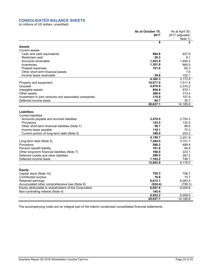# **CONSOLIDATED BALANCE SHEETS**

(in millions of US dollars, unaudited)

|                                                                                | As at October 15,<br>2017 | As at April 30,<br>2017 (adjusted,<br>Note 1) |
|--------------------------------------------------------------------------------|---------------------------|-----------------------------------------------|
|                                                                                | \$                        | \$                                            |
| <b>Assets</b>                                                                  |                           |                                               |
| <b>Current assets</b>                                                          |                           |                                               |
| Cash and cash equivalents                                                      | 994.8                     | 637.6                                         |
| Restricted cash                                                                | 20.3                      | 6.1                                           |
| Accounts receivable                                                            | 1,923.9                   | 1.494.2                                       |
| Inventories                                                                    | 1,301.9                   | 865.0                                         |
| Prepaid expenses                                                               | 101.6                     | 60.3                                          |
| Other short-term financial assets                                              |                           | 7.6                                           |
| Income taxes receivable                                                        | 39.8                      | 102.1                                         |
|                                                                                | 4,382.3                   | 3,172.9                                       |
| Property and equipment                                                         | 10,077.0                  | 7,511.4                                       |
| Goodwill                                                                       | 4,876.9                   | 2,370.2                                       |
| Intangible assets                                                              | 854.8                     | 670.1                                         |
| Other assets                                                                   | 266.4                     | 313.4                                         |
| Investment in joint ventures and associated companies<br>Deferred income taxes | 115.0<br>64.7             | 107.9<br>39.7                                 |
|                                                                                | 20,637.1                  | 14,185.6                                      |
|                                                                                |                           |                                               |
| <b>Liabilities</b>                                                             |                           |                                               |
| <b>Current liabilities</b>                                                     |                           |                                               |
| Accounts payable and accrued liabilities                                       | 3,479.5                   | 2.704.3                                       |
| Provisions                                                                     | 153.5                     | 130.5                                         |
| Other short-term financial liabilities (Note 7)                                | 59.7                      | 88.6                                          |
| Income taxes payable                                                           | 118.1                     | 75.3                                          |
| Current portion of long-term debt (Note 5)                                     | 348.9                     | 253.2                                         |
|                                                                                | 4,159.7                   | 3,251.9                                       |
| Long-term debt (Note 5)                                                        | 7,284.0                   | 3,101.7                                       |
| Provisions                                                                     | 580.2                     | 489.4                                         |
| Pension benefit liability                                                      | 101.8                     | 94.6                                          |
| Other long-term financial liabilities (Note 7)                                 | 160.0                     | 223.1                                         |
| Deferred credits and other liabilities                                         | 296.0                     | 267.2                                         |
| Deferred income taxes                                                          | 1,102.2                   | 748.1                                         |
|                                                                                | 13,683.9                  | 8,176.0                                       |
|                                                                                |                           |                                               |
| <b>Equity</b>                                                                  |                           |                                               |
| Capital stock (Note 10)                                                        | 702.3                     | 708.7                                         |
| Contributed surplus                                                            | 16.8                      | 15.7                                          |
| Retained earnings                                                              | 6,613.1                   | 6,083.5                                       |
| Accumulated other comprehensive loss (Note 9)                                  | (524.4)                   | (798.3)                                       |
| Equity attributable to shareholders of the Corporation                         | 6,807.8                   | 6,009.6                                       |
| Non-controlling interest (Note 4)                                              | 145.4                     |                                               |
|                                                                                | 6,953.2                   | 6,009.6                                       |
|                                                                                | 20,637.1                  | 14.185.6                                      |
|                                                                                |                           |                                               |

The accompanying notes are an integral part of the interim condensed consolidated financial statements.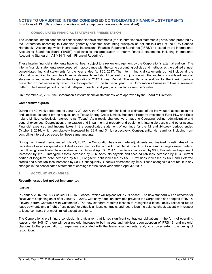(in millions of US dollars unless otherwise noted, except per share amounts, unaudited)

## **1. CONSOLIDATED FINANCIAL STATEMENTS PRESENTATION**

The unaudited interim condensed consolidated financial statements (the "interim financial statements") have been prepared by the Corporation according to Canadian generally accepted accounting principles as set out in Part I of the CPA Canada Handbook – Accounting, which incorporates International Financial Reporting Standards ("IFRS") as issued by the International Accounting Standards Board ("IASB") applicable to the preparation of interim financial statements, including International Accounting Standard ("IAS") 34 "Interim Financial Reporting".

These interim financial statements have not been subject to a review engagement by the Corporation's external auditors. The interim financial statements were prepared in accordance with the same accounting policies and methods as the audited annual consolidated financial statements for the year ended April 30, 2017. The interim financial statements do not include all the information required for complete financial statements and should be read in conjunction with the audited consolidated financial statements and notes thereto in the Corporation's 2017 Annual Report. The results of operations for the interim periods presented do not necessarily reflect results expected for the full fiscal year. The Corporation's business follows a seasonal pattern. The busiest period is the first half-year of each fiscal year, which includes summer's sales.

On November 28, 2017, the Corporation's interim financial statements were approved by the Board of Directors.

### **Comparative figures**

During the 40-week period ended January 29, 2017, the Corporation finalized its estimates of the fair value of assets acquired and liabilities assumed for the acquisition of Topaz Energy Group Limited, Resource Property Investment Fund PLC and Esso Ireland Limited, collectively referred to as "Topaz". As a result, changes were made to Operating, selling, administrative and general expenses, Depreciation, amortization and impairment of property and equipment, intangible assets and other assets, Financial expenses and Income taxes in the consolidated statement of earnings for the 12 and 24-week periods ended October 9, 2016, which cumulatively increased by \$2.5 and \$4.1, respectively. Consequently, Net earnings including noncontrolling interest decreased by these same amounts.

During the 12-week period ended July 23, 2017, the Corporation has also made adjustments and finalized its estimates of the fair value of assets acquired and liabilities assumed for the acquisition of Dansk Fuel A/S. As a result, changes were made to the following consolidated balance sheet accounts as at April 30, 2017: Inventories decreased by \$0.7, Property and equipment increased by \$21.3, Intangible assets increased by \$0.6, Accounts payable and accrued liabilities increased by \$0.3, Current portion of long-term debt increased by \$0.8, Long-term debt increased by \$5.9, Provisions increased by \$6.7 and Deferred credits and other liabilities increased by \$0.7. Consequently, Goodwill decreased by \$6.8. These changes did not result in any changes in the consolidated statement of earnings for the fiscal year ended April 30, 2017.

### **2. ACCOUNTING CHANGES**

### **Recently issued but not yet implemented**

#### *Leases*

In January 2016, the IASB issued IFRS 16, "Leases", which will replace IAS 17, "Leases". The new standard will be effective for fiscal years beginning on or after January 1, 2019, with early adoption permitted provided the Corporation has adopted IFRS 15, "Revenue from Contracts with Customers". The new standard requires lessees to recognize a lease liability reflecting future lease payments and a "right-of-use asset" for virtually all lease contracts, and record it on the balance sheet, except with respect to lease contracts that meet limited exception criteria.

The Corporation's preliminary conclusion is that, given that it has significant contractual obligations in the form of operating leases under IAS 17, there will be a material increase to both assets and liabilities upon adoption of IFRS 16, and material changes to the presentation of expenses associated with the lease arrangements, and, to a lower extent, the timing of recognition.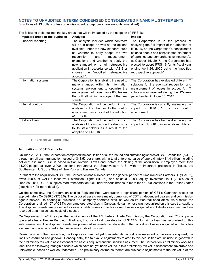(in millions of US dollars unless otherwise noted, except per share amounts, unaudited)

| Impacted areas of the business | <b>Analysis</b>                            | Impact                                       |
|--------------------------------|--------------------------------------------|----------------------------------------------|
| Financial reporting            | The analysis includes which contracts      | The Corporation is in the process of         |
|                                | will be in scope as well as the options    | analyzing the full impact of the adoption of |
|                                | available under the new standard such      | IFRS 16 on the Corporation's consolidated    |
|                                | as whether to early adopt, the two         | balance sheets and consolidated statement    |
|                                | recognition<br>and<br>measurement          | of earnings and comprehensive income. As     |
|                                | exemptions and whether to apply the        | at October 15, 2017, the Corporation has     |
|                                | new standard on a full retrospective       | elected to adopt IFRS 16 for its fiscal year |
|                                | application in accordance with IAS 8 or    | ending April 26, 2020 using the "modified    |
|                                | choose the "modified retrospective         | retrospective approach".                     |
|                                | approach".                                 |                                              |
| Information systems            | The Corporation is analyzing the need to   | The Corporation has evaluated different IT   |
|                                | make changes within its information        | solutions for the eventual recognition and   |
|                                | systems environment to optimize the        | measurement of leases in scope. An IT        |
|                                | management of more than 9,000 leases       | solution was selected during the 12-week     |
|                                | that will fall within the scope of the new | period ended October 15, 2017.               |
|                                | standard.                                  |                                              |
| Internal controls              | The Corporation will be performing an      | The Corporation is currently evaluating the  |
|                                | analysis of the changes to the control     | impact of IFRS 16 on its control             |
|                                | environment as a result of the adoption    | environment.                                 |
|                                | of IFRS 16.                                |                                              |
| <b>Stakeholders</b>            | The Corporation will be performing an      | The Corporation has begun discussing the     |
|                                | analysis of the impact on the disclosure   | impact of IFRS 16 to internal stakeholders.  |
|                                | to its stakeholders as a result of the     |                                              |
|                                | adoption of IFRS 16.                       |                                              |

The following table outlines the key areas that will be impacted by the adoption of IFRS 16:

## **3. BUSINESS ACQUISITIONS**

### **Acquisition of CST Brands Inc.**

On June 28, 2017, the Corporation completed the acquisition of all the issued and outstanding shares of CST Brands Inc. ("CST") through an all-cash transaction valued at \$48.53 per share, with a total enterprise value of approximately \$4.4 billion including net debt assumed. CST is based in San Antonio, Texas and, before the closing of the acquisition, it employed more than 14,000 people at over 2,000 locations throughout the Southwestern U.S., with an important presence in Texas, the Southeastern U.S., the State of New York and Eastern Canada.

Pursuant to the acquisition of CST, the Corporation has also acquired the general partner of CrossAmerica Partners LP ("CAPL"), owns 100% of CAPL's Incentive Distribution Rights ("IDRs") and holds a 20.8% equity investment in it (20.5% as at June 28, 2017). CAPL supplies road transportation fuel under various brands to more than 1,200 locations in the United States (see Note 4 for more details).

On the same day, the Corporation sold to Parkland Fuel Corporation a significant portion of CST's Canadian assets for approximately CA \$986.0 (\$753.0). The disposed assets were mainly comprised of CST's independent dealers and commission agents network, its heating-oil business, 159 company-operated sites, as well as its Montreal head office. As a result, the Corporation retained 157 of CST's company-operated sites in Canada. No gain or loss was recognized on this sale transaction. The disposed assets are presented as assets held-for-sale in the fair value of assets acquired and liabilities assumed and are recorded at fair value less costs of disposal.

On September 6, 2017, as per the requirements of the US Federal Trade Commission, the Corporation sold 70 companyoperated sites to Empire Petroleum Partners, LLC for a total consideration of \$143.0. No gain or loss was recognized on this sale transaction. The disposed assets are presented as assets held-for-sale in the fair value of assets acquired and liabilities assumed and are recorded at fair value less costs of disposal.

Given the size of the transaction, the Corporation has not yet completed its fair value assessment of the assets acquired, the liabilities assumed and goodwill. Consequently, the fair value adjustments related to this acquisition are included in goodwill in the preliminary fair value assessment of the assets acquired and the liabilities assumed. The Corporation's preliminary work has identified the following intangible assets which have not yet been valued in this preliminary fair value assessment: favorable and unfavorable leases as well as trademarks. The preliminary estimates thereof are subject to adjustments to the fair value of the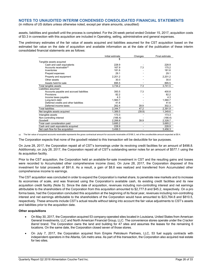(in millions of US dollars unless otherwise noted, except per share amounts, unaudited)

assets, liabilities and goodwill until the process is completed. For the 24-week period ended October 15, 2017, acquisition costs of \$3.3 in connection with this acquisition are included in Operating, selling, administrative and general expenses.

The preliminary estimates of the fair value of assets acquired and liabilities assumed for the CST acquisition based on the estimated fair value on the date of acquisition and available information as at the date of the publication of these interim consolidated financial statements are as follows:

|                                          | Initial estimate | Changes | Final estimate |
|------------------------------------------|------------------|---------|----------------|
|                                          | \$               |         |                |
| Tangible assets acquired                 |                  |         |                |
| Cash and cash equivalents                | 228.9            |         | 228.9          |
| Accounts receivable <sup>(a)</sup>       | 167.9            | 7.3     | 175.2          |
| Inventories                              | 181.6            |         | 181.6          |
| Prepaid expenses                         | 29.1             |         | 29.1           |
| Property and equipment                   | 2,201.2          |         | 2,201.2        |
| Other assets                             | 30.0             |         | 30.0           |
| Assets held-for-sale                     | 895.5            |         | 895.5          |
| Total tangible assets                    | 3,734.2          | 7.3     | 3,741.5        |
| Liabilities assumed                      |                  |         |                |
| Accounts payable and accrued liabilities | 393.5            | 7.3     | 400.8          |
| Provisions                               | 82.2             |         | 82.2           |
| Income taxes payable                     | 4.3              |         | 4.3            |
| Long-term debt                           | 1,560.7          |         | 1,560.7        |
| Deferred credits and other liabilities   | 41.6             |         | 41.6           |
| Deferred income taxes                    | 262.4            | 39.9    | 302.3          |
| <b>Total liabilities</b>                 | 2,344.7          | 47.2    | 2,391.9        |
| Net tangible assets acquired             | 1,389.5          | (39.9)  | 1,349.6        |
| Intangible assets                        | 173.3            |         | 173.3          |
| Non-controlling interest                 | (166.4)          |         | (166.4)        |
| Goodwill                                 | 2,288.8          | 39.9    | 2,328.7        |
| Total cash consideration paid            | 3,685.2          | ٠       | 3,685.2        |
| Cash and cash equivalents acquired       | 228.9            | ۰       | 228.9          |
| Net cash flow for the acquisition        | 3,456.3          |         | 3,456.3        |

(a) The fair value of acquired accounts receivable represents the gross contractual amount for accounts receivable of \$168.3, net of the uncollectible amount expected at \$0.4.

The Corporation expects that none of the goodwill related to this transaction will be deductible for tax purposes.

On June 28, 2017, the Corporation repaid all of CST's borrowings under its revolving credit facilities for an amount of \$498.8. Additionnaly, on July 28, 2017, the Corporation repaid all of CST's outstanding senior notes for an amount of \$577.1 using the its acquisition facility.

Prior to the CST acquisition, the Corporation held an available-for-sale investment in CST and the resulting gains and losses were recorded to Accumulated other comprehensive income (loss). On June 28, 2017, the Corporation disposed of this investment for total proceeds of \$91.6. As a result, a gain of \$8.8 was realized and transferred from Accumulated other comprehensive income to earnings.

The CST acquisition was concluded in order to expand the Corporation's market share, to penetrate new markets and to increase its economies of scale, and was financed using the Corporation's available cash, its existing credit facilities and its new acquisition credit facility (Note 5). Since the date of acquisition, revenues including non-controlling interest and net earnings attributable to the shareholders of the Corporation from this acquisition amounted to \$2,777.8 and \$45.2, respectively. On a pro forma basis, had the Corporation concluded this acquisition at the beginning of its fiscal year, revenues including non-controlling interest and net earnings attributable to the shareholders of the Corporation would have amounted to \$23,764.8 and \$810.5, respectively. These amounts include CST's actual results without taking into account the fair value adjustments to CST's assets and liabilities prior to the acquisition date.

### **Other acquisitions**

- On May 30, 2017, the Corporation acquired 53 company-operated sites located in Louisiana, United States from American General Investments, LLC and North American Financial Group, LLC. The convenience stores operate under the *Cracker Barrel* brand. The Corporation owns the land and building for 47 sites and assumes the leases for the remaining 6 locations. On the same date, the Corporation closed seven of those stores.
- On July 7, 2017, the Corporation acquired from Empire Petroleum Partners, LLC, 53 fuel supply contracts with independent operators in the Atlanta, GA metro area. As part of this transaction, the Corporation also acquired real estate for two sites.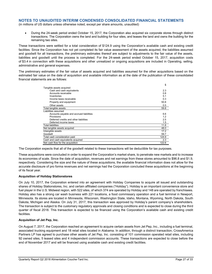(in millions of US dollars unless otherwise noted, except per share amounts, unaudited)

 During the 24-week period ended October 15, 2017, the Corporation also acquired six corporate stores through distinct transactions. The Corporation owns the land and building for four sites, and leases the land and owns the building for the remaining two sites.

These transactions were settled for a total consideration of \$124.9 using the Corporation's available cash and existing credit facilities. Since the Corporation has not yet completed its fair value assessment of the assets acquired, the liabilities assumed and goodwill for all transactions, the preliminary estimates thereof are subject to adjustments to the fair value of the assets, liabilities and goodwill until the process is completed. For the 24-week period ended October 15, 2017, acquisition costs of \$3.4 in connection with these acquisitions and other unrealized or ongoing acquisitions are included in Operating, selling, administrative and general expenses.

The preliminary estimates of the fair value of assets acquired and liabilities assumed for the other acquisitions based on the estimated fair value on the date of acquisition and available information as at the date of the publication of these consolidated financial statements are as follows:

|                                          | \$    |
|------------------------------------------|-------|
| Tangible assets acquired                 |       |
| Cash and cash equivalents                | 2.3   |
| Accounts receivable                      | 0.8   |
| Inventories                              | 5.1   |
| Income taxes receivable                  | 0.3   |
| Property and equipment                   | 50.8  |
| Other assets                             | 0.5   |
| Total tangible assets                    | 59.8  |
| Liabilities assumed                      |       |
| Accounts payable and accrued liabilities | 6.6   |
| Provisions                               | 1.2   |
| Deferred credits and other liabilities   | 2.5   |
| Deferred income taxes                    | 1.5   |
| <b>Total liabilities</b>                 | 11.8  |
| Net tangible assets acquired             | 48.0  |
| Intangible assets                        | 17.2  |
| Goodwill                                 | 59.7  |
| Total cash consideration paid            | 124.9 |
| Cash and cash equivalents acquired       | 2.3   |
| Net cash flow for the acquisition        | 122.6 |

The Corporation expects that all of the goodwill related to these transactions will be deductible for tax purposes.

These acquisitions were concluded in order to expand the Corporation's market share, to penetrate new markets and to increase its economies of scale. Since the date of acquisition, revenues and net earnings from these stores amounted to \$96.8 and \$1.9, respectively. Considering the size and the nature of these acquisitions, the available financial information does not allow for the accurate disclosure of pro forma revenues and net earnings had the Corporation concluded these acquisitions at the beginning of its fiscal year.

### **Acquisition of Holiday Stationstores**

On July 10, 2017, the Corporation entered into an agreement with Holiday Companies to acquire all issued and outstanding shares of Holiday Stationstores, Inc. and certain affiliated companies ("Holiday"). Holiday is an important convenience store and fuel player in the U.S. Midwest region, with 522 sites, of which 374 are operated by Holiday and 148 are operated by franchisees. Holiday also has a strong car wash business with 221 locations, a food commissary operation and a fuel terminal in Newport, Minnesota. Its stores are located in Minnesota, Wisconsin, Washington State, Idaho, Montana, Wyoming, North Dakota, South Dakota, Michigan and Alaska. On July 31, 2017, this transaction was approved by Holiday's parent company's shareholders. The transaction is subject to the customary regulatory approvals and closing conditions and is expected to close during the third quarter of fiscal 2018. This transaction is expected to be financed using the Corporation's available cash and existing credit facilities.

## **Acquisition of Jet Pep, Inc.**

On August 7, 2017, the Corporation reached an agreement to acquire certain assets from Jet Pep, Inc., including a fuel terminal, associated trucking equipment and 18 retail sites located in Alabama. In addition, through a distinct transaction, CrossAmerica Partners LP has agreed to purchase other assets of Jet Pep, Inc. consisting of 101 commission operated retail sites, including 92 owned sites, 5 leased sites and 4 independent commission accounts. These transactions are expected to close before the end of November 2017 and will be financed using available cash and existing credit facilities.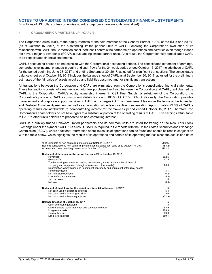(in millions of US dollars unless otherwise noted, except per share amounts, unaudited)

#### **4. CROSSAMERICA PARTNERS LP ("CAPL")**

The Corporation owns 100% of the equity interests of the sole member of the General Partner, 100% of the IDRs and 20.8% (as at October 15, 2017) of the outstanding limited partner units of CAPL. Following the Corporation's evaluation of its relationship with CAPL, the Corporation concluded that it controls the partnership's operations and activities even though it does not have a majority ownership of CAPL's outstanding limited partner units. As a result, the Corporation fully consolidates CAPL in its consolidated financial statements.

CAPL's accounting periods do not coincide with the Corporation's accounting periods. The consolidated statement of earnings, comprehensive income, changes in equity and cash flows for the 24-week period ended October 15, 2017 include those of CAPL for the period beginning June 28, 2017 and ending September 30, 2017, adjusted for significant transactions. The consolidated balance sheet as at October 15, 2017 includes the balance sheet of CAPL as at September 30, 2017, adjusted for the preliminary estimates of the fair value of assets acquired and liabilities assumed and for significant transactions.

All transactions between the Corporation and CAPL are eliminated from the Corporation's consolidated financial statements. These transactions consist of a mark-up on motor fuel purchased and sold between the Corporation and CAPL, rent charged by CAPL to the Corporation, CAPL's equity ownership interest in CST Fuel Supply, a subsidiary of the Corporation, the Corporation's portion of CAPL's common unit distributions and 100% of CAPL's IDRs. Additionally, the Corporation provides management and corporate support services to CAPL and charges CAPL a management fee under the terms of the Amended and Restated Omnibus Agreement, as well as an allocation of certain incentive compensation. Approximately 79.6% of CAPL's operating results are attributable to non-controlling interest for the 24-week period ended October 15, 2017. Therefore, the Corporation's shareholders do not have rights to a substantial portion of the operating results of CAPL. The earnings attributable to CAPL's other units holders are presented as non-controlling interest.

CAPL is a publicly traded Delaware limited partnership and its common units are listed for trading on the New York Stock Exchange under the symbol "CAPL." As a result, CAPL is required to file reports with the United States Securities and Exchange Commission ("SEC"), where additional information about its results of operations can be found and should be read in conjunction with the table below, which highlights the results of its operations and certain of its operating metrics since the acquisition date:

| % of units held by non-controlling interest as at October 15, 2017<br>Net loss attributable to non-controlling interest for the period fom June 28 to October 15, 2017 | 79.2%<br>(\$4.2) |
|------------------------------------------------------------------------------------------------------------------------------------------------------------------------|------------------|
| Accumulated non-controlling interest as at October 15, 2017                                                                                                            | \$162.2          |
| Statement of Earnings for the period fom June 28 to October 15, 2017                                                                                                   | \$.              |
| Revenues                                                                                                                                                               | 562.6            |
| Gross profit                                                                                                                                                           | 47.5             |
| Total operating expenses (excluding depreciation, amortization and impairment of                                                                                       |                  |
| property and equipment, intangible assets and other assets)                                                                                                            | 28.5             |
| Depreciation, amortization and impairment of property and equipment, intangible assets                                                                                 |                  |
| and other assets                                                                                                                                                       | 18.1             |
| Net financial expenses                                                                                                                                                 | 6.2              |
| Loss before income taxes                                                                                                                                               | (5.3)            |
| Income taxes                                                                                                                                                           | 1.0              |
| Net loss                                                                                                                                                               | (6.3)            |
| Statement of Cash Flow for the period fom June 28 to October 15, 2017                                                                                                  | S                |
| Net cash used in operating activities                                                                                                                                  | 6.4              |
| Net cash used in investing activities                                                                                                                                  | 18.6             |
| Net cash used in financing activities                                                                                                                                  | (31.9)           |
| Balance Sheet as at October 15, 2017                                                                                                                                   | S                |
| Cash and cash equivalents                                                                                                                                              | 1.8              |
| Current assets (other than cash and cash equivalents)                                                                                                                  | 53.9             |
| Long-term assets                                                                                                                                                       | 988.3            |
| <b>Current liabilities</b>                                                                                                                                             | 69.8             |
| Long-term liabilities                                                                                                                                                  | 559.1            |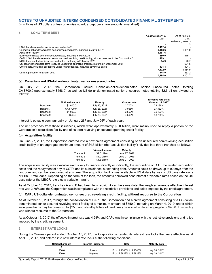(in millions of US dollars unless otherwise noted, except per share amounts, unaudited)

## **5. LONG-TERM DEBT**

|                                                                                                                         | As at October 15, | As at April 30.    |
|-------------------------------------------------------------------------------------------------------------------------|-------------------|--------------------|
|                                                                                                                         | 2017              | 2017               |
|                                                                                                                         |                   | (adjusted, Note 1) |
|                                                                                                                         |                   |                    |
| US-dollar-denominated senior unsecured notes <sup>(a)</sup>                                                             | 2.482.4           |                    |
| Canadian-dollar-denominated senior unsecured notes, maturing in July 2024 <sup>(a)</sup>                                | 2.153.6           | 1.461.9            |
| Acquisition facility <sup>(b)</sup>                                                                                     | 1.167.6           |                    |
| Euro-denominated senior unsecured notes, maturing in May 2026                                                           | 880.9             | 815.1              |
| CAPL US-dollar-denominated senior secured revolving credit facility, without recourse to the Corporation <sup>(c)</sup> | 429.1             |                    |
| NOK-denominated senior unsecured notes, maturing in February 2026                                                       | 84.9              | 78.7               |
| US-dollar-denominated term revolving unsecured operating credit D, maturing in December 2021                            |                   | 694.5              |
| Other debts, including obligations under finance leases, maturing at various dates                                      | 434.4             | 304.7              |
|                                                                                                                         | 7.632.9           | 3.354.9            |
| Current portion of long-term debt                                                                                       | 348.9             | 253.2              |
|                                                                                                                         | 7.284.0           | 3.101.7            |

#### **(a) Canadian- and US-dollar-denominated senior unsecured notes**

On July 26, 2017, the Corporation issued Canadian-dollar-denominated senior unsecured notes totaling CA \$700.0 (approximately \$558.0) as well as US-dollar-denominated senior unsecured notes totaling \$2.5 billion, divided as follows:

|           | <b>Notional amount</b> | Maturity      | Coupon rate | <b>Effective rate as at</b><br>October 15, 2017 |
|-----------|------------------------|---------------|-------------|-------------------------------------------------|
| Tranche 6 | \$1,000.0              | July 26, 2022 | 2.700%      | 2.8186%                                         |
| Tranche 7 | CA \$700.0             | July 26, 2024 | 3.056%      | 3.1332%                                         |
| Tranche 8 | \$1,000.0              | July 26, 2027 | 3.550%      | 3.6423%                                         |
| Tranche 9 | \$500.0                | July 26, 2047 | 4.500%      | 4.5755%                                         |

Interest is payable semi-annually on January  $26<sup>th</sup>$  and July  $26<sup>th</sup>$  of each year.

The net proceeds from those issuances, which were approximately \$3.0 billion, were mainly used to repay a portion of the Corporation's acquisition facility and of its term revolving unsecured operating credit facility.

#### **(b) Acquisition facility**

On June 27, 2017, the Corporation entered into a new credit agreement consisting of an unsecured non-revolving acquisition credit facility of an aggregate maximum amount of \$4.3 billion (the "acquisition facility"), divided into three tranches as follows:

|           | <b>Principal amount</b> | <b>Maturity</b> |
|-----------|-------------------------|-----------------|
| Tranche A | \$2.0 billion           | June 27, 2018   |
| Tranche B | \$1.0 billion           | June 27, 2019   |
| Tranche C | \$1.3 billion           | June 27, 2020   |

The acquisition facility was available exclusively to finance, directly or indirectly, the acquisition of CST, the related acquisition costs and the repayment of any of CST's and its subsidiaries' outstanding debt. Amounts could be drawn up to 90 days after the first draw and can be reimbursed at any time. The acquisition facility was available in US dollars by way of US base rate loans or LIBOR rate loans. Depending on the form of the loan, the amounts borrowed bear interest at variable rates based on the US base rate or the LIBOR rate plus a variable margin.

As at October 15, 2017, tranches A and B had been fully repaid. As at the same date, the weighted average effective interest rate was 2.70% and the Corporation was in compliance with the restrictive provisions and ratios imposed by the credit agreement.

### **(c) CAPL US-dollar-denominated senior secured revolving credit facility, without recourse to the Corporation**

As at October 15, 2017, through the consolidation of CAPL, the Corporation had a credit agreement consisting of a US-dollardenominated senior secured revolving credit facility of a maximum amount of \$550.0, maturing on March 4, 2019, under which swing-line loans may be drawn up to \$25.0 and standby letters of credit may be issued up to an aggregate of \$45.0. This facility was without recourse to the Corporation.

As at October 15, 2017, the effective interest rate was 4.24% and CAPL was in compliance with the restrictive provisions and ratios imposed by the credit agreement.

#### **6. INTEREST RATE LOCKS**

During the 24-week period ended October 15, 2017, the Corporation extended its interest rate locks that were effective as at April 30, 2017, and entered into new interest rate locks at the following conditions:

| <b>Notional amount</b> | Interest lock term | Rate                    | <b>Maturity date</b> |
|------------------------|--------------------|-------------------------|----------------------|
|                        |                    |                         |                      |
| 250.0                  | 5 years            | From 1.9505% to 1.9545% | July 28, 2017        |
| 250.0                  | 10 years           | From 2.3922% to 2.3929% | July 28, 2017        |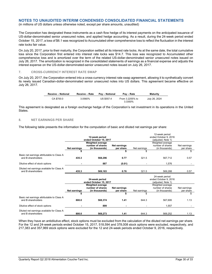(in millions of US dollars unless otherwise noted, except per share amounts, unaudited)

The Corporation has designated these instruments as a cash flow hedge of its interest payments on the anticipated issuance of US-dollar-denominated senior unsecured notes, and applied hedge accounting. As a result, during the 24-week period ended October 15, 2017, a loss of \$6.1 was recognized to Accumulated other comprehensive loss to reflect the fluctuation in the interest rate locks fair value.

On July 20, 2017, prior to their maturity, the Corporation settled all its interest rate locks. As at the same date, the total cumulative loss since the Corporation first entered into interest rate locks was \$14.7. This loss was recognized to Accumulated other comprehensive loss and is amortized over the term of the related US-dollar-denominated senior unsecured notes issued on July 26, 2017. The amortization is recognized in the consolidated statements of earnings as a financial expense and adjusts the interest expense on the US-dollar-denominated-senior unsecured notes issued on July 26, 2017.

### **7. CROSS-CURRENCY INTEREST RATE SWAP**

On July 20, 2017, the Corporation entered into a cross-currency interest rate swap agreement, allowing it to synthetically convert its newly issued Canadian-dollar-denominated senior unsecured notes into US dollars. This agreement became effective on July 26, 2017.

| Receive – Notional | Receive - Rate | <b>Pav – Notional</b> | Pay – Rate                 | <b>Maturity</b> |
|--------------------|----------------|-----------------------|----------------------------|-----------------|
| CA \$700.0         | 3.0560%        | US \$557.4            | From 3.2255% to<br>3.3350% | July 26, 2024   |

This agreement is designated as a foreign exchange hedge of the Corporation's net investment in its operations in the United States.

## **8. NET EARNINGS PER SHARE**

The following table presents the information for the computation of basic and diluted net earnings per share:

|                                                                  |              |                         |              |                       | 12-week period        |              |  |
|------------------------------------------------------------------|--------------|-------------------------|--------------|-----------------------|-----------------------|--------------|--|
|                                                                  |              | 12-week period          |              | ended October 9, 2016 |                       |              |  |
|                                                                  |              | ended October 15, 2017  |              | (adjusted, Note 1)    |                       |              |  |
|                                                                  |              | <b>Weighted average</b> |              |                       | Weighted average      |              |  |
|                                                                  |              | number of shares        | Net earnings |                       | number of shares      | Net earnings |  |
|                                                                  | Net earnings | (in thousands)          | per share    | Net earnings          | (in thousands)        | per share    |  |
|                                                                  |              |                         |              | \$.                   |                       | \$           |  |
| Basic net earnings attributable to Class A<br>and B shareholders | 435.3        | 568,296                 | 0.77         | 321.5                 | 567,712               | 0.57         |  |
| Dilutive effect of stock options                                 |              | 887                     | (0.01)       |                       | 1,576                 |              |  |
| Diluted net earnings available for Class A<br>and B shareholders | 435.3        | 569,183                 | 0.76         | 321.5                 | 569,288               | 0.57         |  |
|                                                                  |              |                         |              |                       | 24-week period        |              |  |
|                                                                  |              | 24-week period          |              |                       | ended October 9, 2016 |              |  |
|                                                                  |              | ended October 15, 2017  |              |                       | (adjusted, Note 1)    |              |  |
|                                                                  |              | <b>Weighted average</b> |              |                       | Weighted average      |              |  |
|                                                                  |              | number of shares        | Net earnings |                       | number of shares      | Net earnings |  |
|                                                                  | Net earnings | (in thousands)          | per share    | Net earnings          | (in thousands)        | per share    |  |
|                                                                  |              |                         |              | \$                    |                       | \$           |  |
| Basic net earnings attributable to Class A                       |              |                         |              |                       |                       |              |  |
| and B shareholders                                               | 800.0        | 568,374                 | 1.41         | 644.3                 | 567,695               | 1.13         |  |
| Dilutive effect of stock options                                 |              | 899                     |              |                       | 1,557                 |              |  |
| Diluted net earnings available for Class A<br>and B shareholders | 800.0        | 569,273                 | 1.41         | 644.3                 | 569,252               | 1.13         |  |

When they have an antidilutive effect, stock options must be excluded from the calculation of the diluted net earnings per share. For the 12 and 24-week periods ended October 15, 2017, 518,594 and 378,008 stock options were excluded, respectively, and 217,383 and 357,969 stock options were excluded for the 12 and 24-week periods ended October 9, 2016, respectively.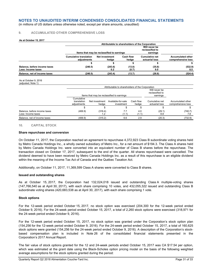(in millions of US dollars unless otherwise noted, except per share amounts, unaudited)

## **9. ACCUMULATED OTHER COMPREHENSIVE LOSS**

#### **As at October 15, 2017**

|                                                    |                                              | Attributable to shareholders of the Corporation                                            |                    |                                         |                                                |  |  |
|----------------------------------------------------|----------------------------------------------|--------------------------------------------------------------------------------------------|--------------------|-----------------------------------------|------------------------------------------------|--|--|
|                                                    |                                              | Will never be<br>reclassified to<br>Items that may be reclassified to earnings<br>earnings |                    |                                         |                                                |  |  |
|                                                    | <b>Cumulative translation</b><br>adiustments | <b>Net investment</b><br>hedge                                                             | Cash flow<br>hedge | <b>Cumulative net</b><br>actuarial loss | <b>Accumulated other</b><br>comprehensive loss |  |  |
|                                                    |                                              |                                                                                            |                    |                                         |                                                |  |  |
| Balance, before income taxes<br>Less: Income taxes | (240.5)                                      | (243.6)<br>0.2                                                                             | (13.0)<br>(0.7)    | (35.8)<br>9.0                           | (532.9)<br>8.5                                 |  |  |
| Balance, net of income taxes                       | (240.5)                                      | (243.4)                                                                                    | (13.7)             | (26.8)                                  | (524.4)                                        |  |  |

As at October 9, 2016 (adjusted, Note 1)

|                                                    |                                          | Attributable to shareholders of the Corporation |                                              |                    |                                  |                                         |  |
|----------------------------------------------------|------------------------------------------|-------------------------------------------------|----------------------------------------------|--------------------|----------------------------------|-----------------------------------------|--|
|                                                    |                                          | Items that may be reclassified to earnings      | Will never be<br>reclassified to<br>earnings |                    |                                  |                                         |  |
|                                                    | Cumulative<br>translation<br>adjustments | Net investment<br>hedae                         | Available-for-sale<br>investment             | Cash flow<br>hedge | Cumulative net<br>actuarial loss | Accumulated other<br>comprehensive loss |  |
|                                                    |                                          |                                                 |                                              |                    |                                  |                                         |  |
| Balance, before income taxes<br>Less: Income taxes | (406.9)                                  | (316.4)<br>1.2                                  | 7.7<br>(1.1)                                 | 4.0<br>(1.1)       | (29.1)<br>8.8                    | (740.7)<br>7.8                          |  |
| Balance, net of income taxes                       | (406.9)                                  | (315.2)                                         | 6.6                                          | 2.9                | (20.3)                           | (732.9)                                 |  |

## **10. CAPITAL STOCK**

#### **Share repurchase and conversion**

On October 11, 2017, the Corporation reached an agreement to repurchase 4,372,923 Class B subordinate voting shares held by Metro Canada Holdings Inc., a wholly owned subsidiary of Metro Inc., for a net amount of \$194.3. The Class A shares held by Metro Canada Holdings Inc. were converted into an equivalent number of Class B shares before the repurchase. The transaction closed on October 17, 2017, subsequent to the end of the quarter. All shares repurchased were cancelled. The dividend deemed to have been received by Metro Canada Holdings Inc. as a result of this repurchase is an eligible dividend within the meaning of the Income Tax Act of Canada and the Québec Taxation Act.

Additionally, on October 11, 2017, 11,369,599 Class A shares were converted to Class B shares.

#### **Issued and outstanding shares**

As at October 15, 2017, the Corporation had 132,024,018 issued and outstanding Class A multiple-voting shares (147,766,540 as at April 30, 2017), with each share comprising 10 votes, and 432,055,322 issued and outstanding Class B subordinate voting shares (420,683,538 as at April 30, 2017), with each share comprising 1 vote.

### **Stock options**

For the 12-week period ended October 15, 2017, no stock option was exercised (204,300 for the 12-week period ended October 9, 2016). For the 24-week period ended October 15, 2017, a total of 2,260 stock options were exercised (318,971 for the 24-week period ended October 9, 2016).

For the 12-week period ended October 15, 2017, no stock option was granted under the Corporation's stock option plan (154,256 for the 12-week period ended October 9, 2016). For the 24-week period ended October 15, 2017, a total of 160,625 stock options were granted (154,256 for the 24-week period ended October 9, 2016). A description of the Corporation's stockbased compensation plan is included in Note 26 of the consolidated financial statements presented in the Corporation's 2017 Annual Report.

The fair value of stock options granted for the 12 and 24-week periods ended October 15, 2017 was CA \$17.54 per option, which was estimated at the grant date using the Black-Scholes option pricing model on the basis of the following weighted average assumptions for the stock options granted during the period: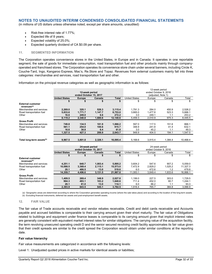(in millions of US dollars unless otherwise noted, except per share amounts, unaudited)

- Risk-free interest rate of 1.77%;
- Expected life of 8 years;
- Expected volatility of 25.0%;
- Expected quarterly dividend of CA \$0.09 per share.

### **11. SEGMENTED INFORMATION**

The Corporation operates convenience stores in the United States, in Europe and in Canada. It operates in one reportable segment, the sale of goods for immediate consumption, road transportation fuel and other products mainly through companyoperated and franchised stores. The Corporation operates its convenience store chain under several banners, including Circle K, Couche-Tard, Ingo, Kangaroo Express, Mac's, Re.Store and Topaz. Revenues from external customers mainly fall into three categories: merchandise and services, road transportation fuel and other.

Information on the principal revenue categories as well as geographic information is as follows:

|                                                     |                      |                        |         |              |                       | 12-week period        |         |          |  |
|-----------------------------------------------------|----------------------|------------------------|---------|--------------|-----------------------|-----------------------|---------|----------|--|
|                                                     |                      | 12-week period         |         |              |                       | ended October 9, 2016 |         |          |  |
|                                                     |                      | ended October 15, 2017 |         |              | (adjusted, Note 1)    |                       |         |          |  |
|                                                     | <b>United States</b> | <b>Europe</b>          | Canada  | <b>Total</b> | <b>United States</b>  | Europe                | Canada  | Total    |  |
|                                                     | \$                   | \$                     | \$      | \$           | \$                    | \$                    | \$      | \$       |  |
| <b>External customer</b><br>revenues <sup>(a)</sup> |                      |                        |         |              |                       |                       |         |          |  |
| Merchandise and services                            | 2,269.0              | 320.1                  | 526.3   | 3,115.4      | 1,791.3               | 284.0                 | 450.9   | 2,526.2  |  |
| Road transportation fuel                            | 5,833.6              | 1,771.7                | 1,147.7 | 8.753.0      | 3.665.0               | 1,477.8               | 523.3   | 5.666.1  |  |
| Other                                               | 16.6                 | 249.0                  | 6.6     | 272.2        | 3.0                   | 249.1                 | 1.1     | 253.2    |  |
|                                                     | 8.119.2              | 2,340.8                | 1.680.6 | 12,140.6     | 5.459.3               | 2.010.9               | 975.3   | 8.445.5  |  |
| <b>Gross Profit</b>                                 |                      |                        |         |              |                       |                       |         |          |  |
| Merchandise and services                            | 749.8                | 134.5                  | 181.9   | 1,066.2      | 597.0                 | 117.5                 | 151.6   | 866.1    |  |
| Road transportation fuel                            | 561.1                | 254.0                  | 100.6   | 915.7        | 348.9                 | 241.8                 | 41.4    | 632.1    |  |
| Other                                               | 16.6                 | 38.8                   | 6.4     | 61.8         | 3.0                   | 45.2                  | 1.1     | 49.3     |  |
|                                                     | 1.327.5              | 427.3                  | 288.9   | 2.043.7      | 948.9                 | 404.5                 | 194.1   | 1.547.5  |  |
|                                                     |                      |                        |         |              |                       |                       |         |          |  |
| Total long-term assets <sup>(b)</sup>               | 9,967.5              | 3,801.8                | 2,326.1 | 16,095.4     | 5,168.6               | 3,915.4               | 1,384.4 | 10,468.4 |  |
|                                                     |                      | 24-week period         |         |              |                       | 24-week period        |         |          |  |
|                                                     |                      | ended October 15, 2017 |         |              | ended October 9, 2016 |                       |         |          |  |
|                                                     | <b>United States</b> | <b>Europe</b>          | Canada  | <b>Total</b> | <b>United States</b>  | Europe                | Canada  | Total    |  |
|                                                     | \$                   | \$                     | \$      | \$           | \$                    | \$                    | \$      | \$       |  |
| <b>External customer</b><br>revenues <sup>(a)</sup> |                      |                        |         |              |                       |                       |         |          |  |
| Merchandise and services                            | 4,251.1              | 640.7                  | 1,003.4 | 5,895.2      | 3,604.2               | 547.6                 | 907.2   | 5,059.0  |  |
| Road transportation fuel                            | 10,088.5             | 3,369.4                | 2,115.1 | 15,573.0     | 7,472.9               | 2,829.2               | 1,025.2 | 11,327.3 |  |
| Other                                               | 20.1                 | 486.5                  | 13.0    | 519.6        | 6.0                   | 472.6                 | 1.2     | 479.8    |  |
|                                                     | 14.359.7             | 4.496.6                | 3.131.5 | 21.987.8     | 11,083.1              | 3,849.4               | 1.933.6 | 16.866.1 |  |
| <b>Gross Profit</b>                                 |                      |                        |         |              |                       |                       |         |          |  |
| Merchandise and services                            | 1,409.5              | 269.4                  | 348.9   | 2,027.8      | 1.199.0               | 227.5                 | 303.0   | 1,729.5  |  |
| Road transportation fuel                            | 964.3                | 493.1                  | 183.2   | 1,640.6      | 711.4                 | 452.0                 | 80.7    | 1,244.1  |  |
| Other                                               | 20.1                 | 81.0                   | 13.0    | 114.1        | 6.0                   | 86.2                  | 1.1     | 93.3     |  |
|                                                     | 2,393.9              | 843.5                  | 545.1   | 3,782.5      | 1,916.4               | 765.7                 | 384.8   | 3.066.9  |  |
|                                                     |                      |                        |         |              |                       |                       |         |          |  |

(a) Geographic areas are determined according to where the Corporation generates operating income (where the sale takes place) and according to the location of the long-term assets. (b) Excluding financial instruments, deferred tax assets and post-employment benefit assets.

#### **12. FAIR VALUE**

The fair value of Trade accounts receivable and vendor rebates receivable, Credit and debit cards receivable and Accounts payable and accrued liabilities is comparable to their carrying amount given their short maturity. The fair value of Obligations related to buildings and equipment under finance leases is comparable to its carrying amount given that implicit interest rates are generally consistent with equivalent market interest rates for similar obligations. The carrying value of the acquisition facility, the term revolving unsecured operating credit D and the senior secured revolving credit facility approximates its fair value given that their credit spreads are similar to the credit spread the Corporation would obtain under similar conditions at the reporting date.

#### **Fair value hierarchy**

Fair value measurements are categorized in accordance with the following levels:

Level 1: Unadjusted quoted prices in active markets for identical assets or liabilities;